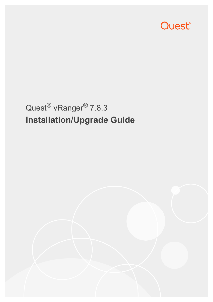

# Quest® vRanger® 7.8.3 **Installation/Upgrade Guide**

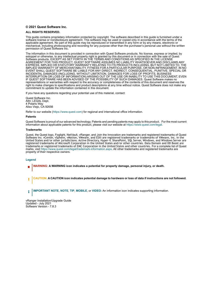#### **© 2021 Quest Software Inc.**

#### **ALL RIGHTS RESERVED.**

This guide contains proprietary information protected by copyright. The software described in this guide is furnished under a software license or nondisclosure agreement. This software may be used or copied only in accordance with the terms of the applicable agreement. No part of this guide may be reproduced or transmitted in any form or by any means, electronic or mechanical, including photocopying and recording for any purpose other than the purchaser's personal use without the written permission of Quest Software Inc.

The information in this document is provided in connection with Quest Software products. No license, express or implied, by estoppel or otherwise, to any intellectual property right is granted by this document or in connection with the sale of Quest<br>Software products. EXCEPT AS SET FORTH IN THE TERMS AND CONDITIONS AS SPECIFIED IN THE LICENSE<br>A EXPRESS, IMPLIED OR STATUTORY WARRANTY RELATING TO ITS PRODUCTS INCLUDING, BUT NOT LIMITED TO, THE IMPLIED WARRANTY OF MERCHANTABILITY, FITNESS FOR A PARTICULAR PURPOSE, OR NON-INFRINGEMENT. IN NO EVENT SHALL QUEST SOFTWARE BE LIABLE FOR ANY DIRECT, INDIRECT, CONSEQUENTIAL, PUNITIVE, SPECIAL OR INCIDENTAL DAMAGES (INCLUDING, WITHOUT LIMITATION, DAMAGES FOR LOSS OF PROFITS, BUSINESS<br>INTERRUPTION OR LOSS OF INFORMATION) ARISING OUT OF THE USE OR INABILITY TO USE THIS DOCUMENT, EVEN IF QUEST SOFTWARE HAS BEEN ADVISED OF THE POSSIBILITY OF SUCH DAMAGES. Quest Software makes no representations or warranties with respect to the accuracy or completeness of the contents of this document and reserves the right to make changes to specifications and product descriptions at any time without notice. Quest Software does not make any commitment to update the information contained in this document.

If you have any questions regarding your potential use of this material, contact:

Quest Software Inc. Attn: LEGAL Dept. 4 Polaris Way Aliso Viejo, CA 92656

Refer to our website [\(https://www.quest.com](https://www.quest.com)) for regional and international office information.

#### **Patents**

Quest Software is proud of our advanced technology. Patents and pending patents may apply to this product. For the most current information about applicable patents for this product, please visit our website at [https://www.quest.com/legal.](https://www.quest.com/legal)

#### **Trademarks**

Quest, the Quest logo, Foglight, NetVault, vRanger, and Join the Innovation are trademarks and registered trademarks of Quest Software Inc. vCenter, vSphere, vMotion, VMware, and ESXi are registered trademarks or trademarks of VMware, Inc. in the<br>United States and/or other jurisdictions. Active Directory, Hyper-V, SharePoint, SQL Server, Windows, registered trademarks of Microsoft Corporation in the United States and/or other countries. Data Domain and DD Boost are trademarks or registered trademarks of EMC Corporation in the United States and other countries. For a complete list of Quest marks, visit [https://www.quest.com/legal/trademark-information.aspx.](https://www.quest.com/legal/trademark-information.aspx) All other trademarks and registered trademarks are property of their respective owners.

#### **Legend**

**WARNING: A WARNING icon indicates a potential for property damage, personal injury, or death.**

**CAUTION: A CAUTION icon indicates potential damage to hardware or loss of data if instructions are not followed.** Ţ

**IMPORTANT NOTE**, **NOTE**, **TIP**, **MOBILE**, or **VIDEO:** An information icon indicates supporting information.i

vRanger Installation/Upgrade Guide Updated - July 2021 Software Version - 7.8.3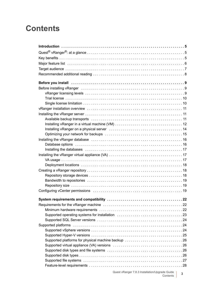## **Contents**

| Before you install in the contract of the contract of the set of the set of the set of the set of the set of t                                                                                                                |
|-------------------------------------------------------------------------------------------------------------------------------------------------------------------------------------------------------------------------------|
| Before installing vRanger (and accommodation of the contract of the set of the set of the set of the set of th                                                                                                                |
|                                                                                                                                                                                                                               |
|                                                                                                                                                                                                                               |
|                                                                                                                                                                                                                               |
|                                                                                                                                                                                                                               |
|                                                                                                                                                                                                                               |
|                                                                                                                                                                                                                               |
|                                                                                                                                                                                                                               |
| Installing vRanger on a physical server (and the content of the content of 14                                                                                                                                                 |
|                                                                                                                                                                                                                               |
|                                                                                                                                                                                                                               |
|                                                                                                                                                                                                                               |
| Installing the databases example and the contract of the state of the state of the state of the state of the state of the state of the state of the state of the state of the state of the state of the state of the state of |
|                                                                                                                                                                                                                               |
|                                                                                                                                                                                                                               |
|                                                                                                                                                                                                                               |
|                                                                                                                                                                                                                               |
|                                                                                                                                                                                                                               |
|                                                                                                                                                                                                                               |
|                                                                                                                                                                                                                               |
|                                                                                                                                                                                                                               |
|                                                                                                                                                                                                                               |
|                                                                                                                                                                                                                               |
|                                                                                                                                                                                                                               |
|                                                                                                                                                                                                                               |
|                                                                                                                                                                                                                               |
|                                                                                                                                                                                                                               |
|                                                                                                                                                                                                                               |
|                                                                                                                                                                                                                               |
| Supported platforms for physical machine backup 26                                                                                                                                                                            |
|                                                                                                                                                                                                                               |
|                                                                                                                                                                                                                               |
|                                                                                                                                                                                                                               |
|                                                                                                                                                                                                                               |
|                                                                                                                                                                                                                               |
| Quest vRanger 7.8.3 Installation/Upgrade Guide   2                                                                                                                                                                            |

Contents **<sup>3</sup>**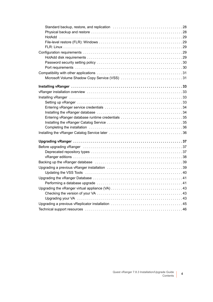| Entering vRanger database runtime credentials 35                                                                |  |
|-----------------------------------------------------------------------------------------------------------------|--|
| Completing the installation contained and contained a state of the installation of the contained a state of the |  |
|                                                                                                                 |  |
|                                                                                                                 |  |
|                                                                                                                 |  |
|                                                                                                                 |  |
|                                                                                                                 |  |
|                                                                                                                 |  |
|                                                                                                                 |  |
|                                                                                                                 |  |
|                                                                                                                 |  |
|                                                                                                                 |  |
|                                                                                                                 |  |
|                                                                                                                 |  |
|                                                                                                                 |  |
|                                                                                                                 |  |
|                                                                                                                 |  |
|                                                                                                                 |  |
|                                                                                                                 |  |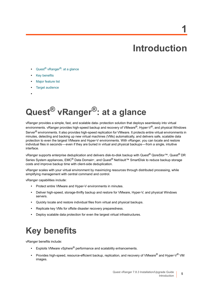# **Introduction**

**1**

- <span id="page-4-0"></span>**•** Quest[® vRanger®: at a glance](#page-4-1)
- **•** [Key benefits](#page-4-2)
- **•** [Major feature list](#page-5-0)
- **•** [Target audience](#page-6-0)
- **•**

# <span id="page-4-1"></span>**Quest® vRanger®: at a glance**

vRanger provides a simple, fast, and scalable data- protection solution that deploys seamlessly into virtual environments. vRanger provides high-speed backup and recovery of VMware®, Hyper-V®, and physical Windows Server<sup>®</sup> environments. It also provides high-speed replication for VMware. It protects entire virtual environments in minutes, detecting and backing up new virtual machines (VMs) automatically, and delivers safe, scalable data protection to even the largest VMware and Hyper-V environments. With vRanger, you can locate and restore individual files in seconds — even if they are buried in virtual and physical backups — from a single, intuitive interface.

vRanger supports enterprise deduplication and delivers disk-to-disk backup with Quest® QoreStor™, Quest® DR Series System appliances, EMC<sup>®</sup> Data Domain®, and Quest<sup>®</sup> NetVault™ SmartDisk to reduce backup storage costs and improve backup time with client-side deduplication.

vRanger scales with your virtual environment by maximizing resources through distributed processing, while simplifying management with central command and control.

vRanger capabilities include:

- **•** Protect entire VMware and Hyper-V environments in minutes.
- **•** Deliver high-speed, storage-thrifty backup and restore for VMware, Hyper-V, and physical Windows servers.
- **•** Quickly locate and restore individual files from virtual and physical backups.
- **•** Replicate key VMs for offsite disaster recovery preparedness.
- **•** Deploy scalable data protection for even the largest virtual infrastructures.

# <span id="page-4-2"></span>**Key benefits**

vRanger benefits include:

- **•** Exploits VMware vSphere® performance and scalability enhancements.
- **•** Provides high-speed, resource-efficient backup, replication, and recovery of VMware® and Hyper-V® VM images.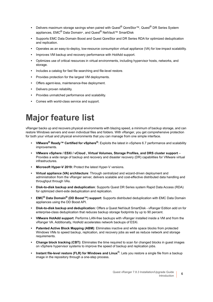- **•** Delivers maximum storage savings when paired with Quest® QoreStor™, Quest® DR Series System appliances, EMC<sup>®</sup> Data Domain®, and Quest<sup>®</sup> NetVault™ SmartDisk
- **•** Supports EMC Data Domain Boost and Quest QoreStor and DR Series RDA for optimized deduplication and replication.
- **•** Operates as an easy-to-deploy, low-resource consumption virtual appliance (VA) for low-impact scalability.
- **•** Improves VM backup and recovery performance with HotAdd support.
- **•** Optimizes use of critical resources in virtual environments, including hypervisor hosts, networks, and storage.
- **•** Includes a catalog for fast file searching and file-level restore.
- **•** Provides protection for the largest VM deployments.
- **•** Offers agent-less, maintenance-free deployment.
- **•** Delivers proven reliability.
- **•** Provides unmatched performance and scalability.
- **•** Comes with world-class service and support.

# <span id="page-5-0"></span>**Major feature list**

vRanger backs up and recovers physical environments with blazing speed, a minimum of backup storage, and can restore Windows servers and even individual files and folders. With vRanger, you get comprehensive protection for both your virtual and physical environments that you can manage from one simple interface.

- **VMware® Ready™ Certified for vSphere®**: Exploits the latest in vSphere 6.7 performance and scalability improvements.
- **VMware vSphere / ESXi / vCloud , Virtual Volumes, Storage Profiles, and DRS cluster support** Provides a wide range of backup and recovery and disaster recovery (DR) capabilities for VMware virtual infrastructures.
- **Microsoft Hyper-V 2019:** Protect the latest Hyper-V versions.
- **Virtual appliance (VA) architecture**: Through centralized and wizard-driven deployment and administration from the vRanger server, delivers scalable and cost-effective distributed data handling and throughput through VAs.
- **Disk-to-disk backup and deduplication**: Supports Quest DR Series system Rapid Data Access (RDA) for optimized client-side deduplication and replication.
- **EMC® Data Domain® (DD Boost™) support**: Supports distributed deduplication with EMC Data Domain appliances using the DD Boost API.
- **Disk-to-disk backup and deduplication:** Offers a Quest NetVault SmartDisk vRanger Edition add on for enterprise-class deduplication that reduces backup storage footprints by up to 90 percent.
- **VMware HotAdd support**: Performs LAN-free backups with vRanger installed inside a VM and from the vRanger VA. Additionally, HotAdd accelerates network backups of ESXi.
- **Patented Active Block Mapping (ABM)**: Eliminates inactive and white space blocks from protected Windows VMs to speed backup, replication, and recovery jobs as well as reduce network and storage requirements.
- **Change block tracking (CBT):** Eliminates the time required to scan for changed blocks in guest images on vSphere hypervisor systems to improve the speed of backup and replication jobs.
- **Instant file-level restore (FLR) for Windows and Linux**®: Lets you restore a single file from a backup image in the repository through a one-step process.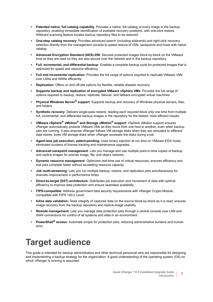- **Patented native, full catalog capability**: Provides a native, full catalog of every image in the backup repository, enabling immediate identification of available recovery positions, with one-click restore. Wildcard scanning feature locates backup repository files to be restored.
- **One-step catalog recovery**: Provides advanced search (including wildcards) and right-click recovery selection directly from the management console to speed restore of VMs, savepoints and hosts with native catalog.
- **Advanced Encryption Standard (AES)-256**: Secures protected images block-by-block on the VMware host as they are read so they are also secure over the network and in the backup repository.
- **Full, incremental, and differential backup:** Enables a complete backup cycle for protected images that is optimized for speed and resource efficiency.
- **Full and incremental replication:** Provides the full range of options required to replicate VMware VMs over LANs and WANs efficiently.
- **Replication:** Offers on and off-site options for flexible, reliable disaster recovery.
- **Supports backup and replication of encrypted VMware vSphere VMs**: Provides the full range of options required to backup, restore, replicate, failover, and failback encrypted virtual machines.
- **Physical Windows Server® support**: Supports backup and recovery of Windows physical servers, files, and folders.
- **Synthetic recovery**: Delivers single-pass restore, reading each required block only one time from multiple full, incremental, and differential backup images in the repository for the fastest, most efficient results.
- **VMware vSphere® vMotion® and Storage vMotion® support**: vSphere vMotion support ensures vRanger automatically protects VMware VMs as they move from one host to another, even when backup jobs are running. It also ensures vRanger follows VM storage disks when they are relocated to different data stores; locks VM storage disks when vRanger accesses the disks during a job.
- **Agent-less job execution, patent-pending:** Uses binary injection at run time on VMware ESXi hosts; eliminates burdens of license tracking and maintenance upgrades.
- **Advanced savepoint management**: Lets you manage and use multiple point-in-time copies of backup and replica images for precise image, file, and object restores.
- **Dynamic resource management**: Optimizes real-time use of critical resources; ensures efficiency and that jobs complete faster without exceeding resource capacity.
- **Job multi-streaming:** Lets you run multiple backup, restore, and replication jobs simultaneously for dramatic improvement in performance times.
- **Direct-to-target (D2T) architecture:** Distributes job execution and movement of data with optimal efficiency to improve data protection and ensure seamless scalability.
- **FIPS-compatible:** Address government data security requirements with vRanger Crypto Module, compatible with FIPS 140-2 Level.
- **Inline data validation:** Tests integrity of captured data on the source block-by-block as it is read; ensures image recovery from the backup repository and replica-image usability.
- **Remote management:** Lets you manage data protection jobs through a central console over LAN and WAN connections for control of all systems and sites in an environment.
- **PowerShell® access:** Automate scripts for protection jobs, reducing administrative burdens and human error.

# <span id="page-6-0"></span>**Target audience**

This guide is intended for backup administrators and other technical personnel who are responsible for designing and implementing a backup strategy for the organization. A good understanding of the operating system (OS) on which vRanger is running is assumed.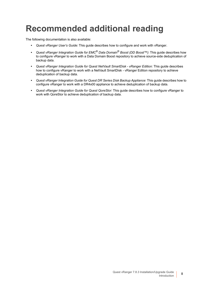# <span id="page-7-0"></span>**Recommended additional reading**

The following documentation is also available:

- **•** *Quest vRanger User's Guide*: This guide describes how to configure and work with vRanger.
- **•** *Quest vRanger Integration Guide for EMC® Data Domain® Boost (DD Boost™)*: This guide describes how to configure vRanger to work with a Data Domain Boost repository to achieve source-side deduplication of backup data.
- **•** *Quest vRanger Integration Guide for Quest NetVault SmartDisk vRanger Edition*: This guide describes how to configure vRanger to work with a NetVault SmartDisk - vRanger Edition repository to achieve deduplication of backup data.
- **•** *Quest vRanger Integration Guide for Quest DR Series Disk Backup Appliance*: This guide describes how to configure vRanger to work with a DR4x00 appliance to achieve deduplication of backup data.
- **•** *Quest vRanger Integration Guide for Quest QoreStor*: This guide describes how to configure vRanger to work with QoreStor to achieve deduplication of backup data.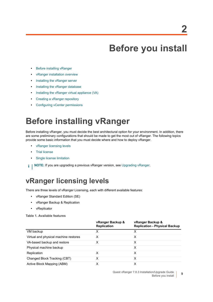# **Before you install**

- <span id="page-8-0"></span>**•** [Before installing vRanger](#page-8-1)
- **•** [vRanger installation overview](#page-10-0)
- **•** [Installing the vRanger server](#page-10-1)
- **•** [Installing the vRanger database](#page-15-0)
- **•** [Installing the vRanger virtual appliance \(VA\)](#page-16-1)
- **•** [Creating a vRanger repository](#page-17-1)
- **•** [Configuring vCenter permissions](#page-18-2)

# <span id="page-8-1"></span>**Before installing vRanger**

Before installing vRanger, you must decide the best architectural option for your environment. In addition, there are some preliminary configurations that should be made to get the most out of vRanger. The following topics provide some basic information that you must decide where and how to deploy vRanger.

- **•** [vRanger licensing levels](#page-8-2)
- **•** [Trial license](#page-9-0)
- **•** [Single license limitation](#page-9-1)
- **i** | NOTE: If you are upgrading a previous vRanger version, see [Upgrading vRanger](#page-36-3).

### <span id="page-8-2"></span>**vRanger licensing levels**

There are three levels of vRanger Licensing, each with different available features:

- **•** vRanger Standard Edition (SE)
- **•** vRanger Backup & Replication
- **•** vReplicator

**Table 1. Available features**

|                                       | vRanger Backup &<br><b>Replication</b> | vRanger Backup &<br><b>Replication - Physical Backup</b> |
|---------------------------------------|----------------------------------------|----------------------------------------------------------|
| VM backup                             | х                                      | х                                                        |
| Virtual and physical machine restores | х                                      | х                                                        |
| VA-based backup and restore           | х                                      | х                                                        |
| Physical machine backup               |                                        | х                                                        |
| Replication                           | х                                      | X                                                        |
| Changed Block Tracking (CBT)          | x                                      | х                                                        |
| Active Block Mapping (ABM)            | x                                      | х                                                        |

**9**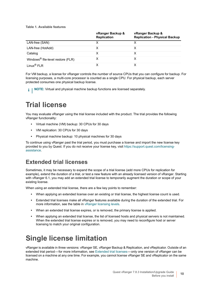**Table 1. Available features**

|                                               | vRanger Backup &<br><b>Replication</b> | vRanger Backup &<br><b>Replication - Physical Backup</b> |
|-----------------------------------------------|----------------------------------------|----------------------------------------------------------|
| LAN-free (SAN)                                |                                        |                                                          |
| LAN-free (HotAdd)                             |                                        |                                                          |
| Catalog                                       | x                                      | х                                                        |
| Windows <sup>®</sup> file-level restore (FLR) | х                                      |                                                          |
| Linux <sup>®</sup> FLR                        |                                        |                                                          |

For VM backup, a license for vRanger controls the number of source CPUs that you can configure for backup. For licensing purposes, a multi-core processor is counted as a single CPU. For physical backup, each server protected consumes one physical backup license.

**i** | NOTE: Virtual and physical machine backup functions are licensed separately.

## <span id="page-9-0"></span>**Trial license**

You may evaluate vRanger using the trial license included with the product. The trial provides the following vRanger functionality:

- **•** Virtual machine (VM) backup: 30 CPUs for 30 days
- **•** VM replication: 30 CPUs for 30 days
- **•** Physical machine backup: 10 physical machines for 30 days

To continue using vRanger past the trial period, you must purchase a license and import the new license key provided to you by Quest. If you do not receive your license key, visit [https://support.quest.com/licensing](https://support.quest.com/licensing-assistance)[assistance](https://support.quest.com/licensing-assistance).

#### <span id="page-9-2"></span>**Extended trial licenses**

Sometimes, it may be necessary to expand the scope of a trial license (add more CPUs for replication for example), extend the duration of a trial, or test a new feature with an already licensed version of vRanger. Starting with vRanger 6.1, you may add an extended trial license to temporarily augment the duration or scope of your existing license.

When using an extended trial license, there are a few key points to remember:

- **•** When applying an extended license over an existing or trial license, the highest license count is used.
- **•** Extended trial licenses make all vRanger features available during the duration of the extended trial. For more information, see the table in [vRanger licensing levels.](#page-8-2)
- **•** When an extended trial license expires, or is removed, the primary license is applied.
- **•** When applying an extended trial license, the list of licensed hosts and physical servers is not maintained. When the extended trial license expires or is removed, you may need to reconfigure host or server licensing to match your original configuration.

## <span id="page-9-1"></span>**Single license limitation**

vRanger is available in three versions: vRanger SE, vRanger Backup & Replication, and vReplicator. Outside of an extended trial period — for more information, see [Extended trial licenses](#page-9-2) — only one version of vRanger can be licensed on a machine at any one time. For example, you cannot license vRanger SE and vReplicator on the same machine.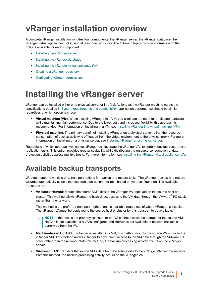# <span id="page-10-0"></span>**vRanger installation overview**

A complete vRanger installation includes four components: the vRanger server, the vRanger database, the vRanger virtual appliances (VAs), and at least one repository. The following topics provide information on the options available for each component.

- **•** [Installing the vRanger server](#page-10-1)
- **•** [Installing the vRanger database](#page-15-0)
- **•** [Installing the vRanger virtual appliance \(VA\)](#page-16-1)
- **•** [Creating a vRanger repository](#page-17-1)
- **•** [Configuring vCenter permissions](#page-18-2)

# <span id="page-10-1"></span>**Installing the vRanger server**

vRanger can be installed either on a physical server or in a VM. As long as the vRanger machine meets the specifications detailed in [System requirements and compatibility](#page-21-2), application performance should be similar regardless of which option is chosen.

- **Virtual machine (VM)**: When installing vRanger in a VM, you eliminate the need for dedicated hardware while maintaining high performance. Due to the lower cost and increased flexibility, this approach is recommended. For information on installing in a VM, see [Installing vRanger in a virtual machine \(VM\)](#page-11-0).
- **Physical machine**: The primary benefit of installing vRanger on a physical server is that the resource consumption of backup activity is off-loaded from the virtual environment to the physical proxy. For more information on installing on a physical server, see [Installing vRanger on a physical server](#page-13-0).

Regardless of which approach you chose, vRanger can leverage the vRanger VAs to perform backup, restore, and replication tasks. This option provides greater scalability while distributing the resource consumption of data protection activities across multiple hosts. For more information, see [Installing the vRanger virtual appliance \(VA\)](#page-16-1).

## <span id="page-10-2"></span>**Available backup transports**

vRanger supports multiple data transport options for backup and restore tasks. The vRanger backup and restore wizards automatically selects the best transport option available based on your configuration. The available transports are:

**• VA-based HotAdd**: Mounts the source VM's disk to the vRanger VA deployed on the source host or cluster. This method allows vRanger to have direct access to the VM data through the VMware<sup>®</sup> I/O stack rather than the network.

This method is the preferred transport method, and is available regardless of where vRanger is installed. The vRanger VA must be deployed to the source host or cluster for this transport to be available.

**NOTE:** If the host is not properly licensed, or the VA cannot access the storage for the source VM, f HotAdd is not available. If a VA is configured and HotAdd is not available, a network backup is performed from the VA.

- **Machine-based HotAdd**: If vRanger is installed in a VM, this method mounts the source VM's disk to the vRanger VM. This method allows vRanger to have direct access to the VM data through the VMware I/O stack rather than the network. With this method, the backup processing activity occurs on the vRanger server.
- **VA-based LAN**: Transfers the source VM's data from the source disk to the vRanger VA over the network. With this method, the backup processing activity occurs on the vRanger VA.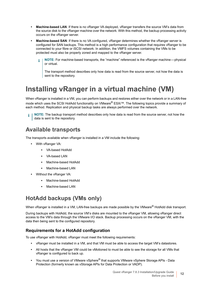- Machine-based LAN: If there is no vRanger VA deployed, vRanger transfers the source VM's data from the source disk to the vRanger machine over the network. With this method, the backup processing activity occurs on the vRanger server.
- **Machine-based SAN**: If there is no VA configured, vRanger determines whether the vRanger server is configured for SAN backups. This method is a high performance configuration that requires vRanger to be connected to your fibre or iSCSI network. In addition, the VMFS volumes containing the VMs to be protected must also be properly zoned and mapped to the vRanger server.

**NOTE:** For machine-based transports, the "machine" referenced is the vRanger machine — physical ÷ or virtual.

The transport method describes only how data is read from the source server, not how the data is sent to the repository.

## <span id="page-11-0"></span>**Installing vRanger in a virtual machine (VM)**

When vRanger is installed in a VM, you can perform backups and restores either over the network or in a LAN-free mode which uses the SCSI HotAdd functionality on VMware® ESXi™. The following topics provide a summary of each method. Replication and physical backup tasks are always performed over the network.

**NOTE:** The backup transport method describes only how data is read from the source server, not how the f data is sent to the repository.

#### **Available transports**

The transports available when vRanger is installed in a VM include the following:

- **•** With vRanger VA:
	- **▪** VA-based HotAdd
	- **▪** VA-based LAN
	- **▪** Machine-based HotAdd
	- **▪** Machine-based LAN
	- **•** Without the vRanger VA:
		- **▪** Machine-based HotAdd
		- **▪** Machine-based LAN

#### **HotAdd backups (VMs only)**

When vRanger is installed in a VM, LAN-free backups are made possible by the VMware® HotAdd disk transport.

During backups with HotAdd, the source VM's disks are mounted to the vRanger VM, allowing vRanger direct access to the VM's data through the VMware I/O stack. Backup processing occurs on the vRanger VM, with the data then being sent to the configured repository.

#### <span id="page-11-1"></span>**Requirements for a HotAdd configuration**

To use vRanger with HotAdd, vRanger must meet the following requirements:

- **•** vRanger must be installed in a VM, and that VM must be able to access the target VM's datastores.
- **•** All hosts that the vRanger VM could be vMotioned to must be able to see the storage for all VMs that vRanger is configured to back up.
- **•** You must use a version of VMware vSphere® that supports VMware vSphere Storage APIs Data Protection (formerly known as vStorage APIs for Data Protection or VADP).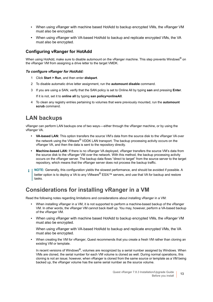- **•** When using vRanger with machine based HotAdd to backup encrypted VMs, the vRanger VM must also be encrypted.
- **•** When using vRanger with VA-based HotAdd to backup and replicate encrypted VMs, the VA must also be encrypted.

#### **Configuring vRanger for HotAdd**

When using HotAdd, make sure to disable automount on the vRanger machine. This step prevents Windows<sup>®</sup> on the vRanger VM from assigning a drive letter to the target VMDK.

#### *To configure vRanger for HotAdd:*

- 1 Click **Start > Run**, and then enter **diskpart**.
- 2 To disable automatic drive letter assignment, run the **automount disable** command.
- 3 If you are using a SAN, verify that the SAN policy is set to Online All by typing **san** and pressing **Enter**.

If it is not, set it to **online all** by typing **san policy=onlineAll**.

4 To clean any registry entries pertaining to volumes that were previously mounted, run the **automount scrub** command.

#### **LAN backups**

vRanger can perform LAN backups one of two ways — either through the vRanger machine, or by using the vRanger VA.

- **VA-based LAN:** This option transfers the source VM's data from the source disk to the vRanger VA over the network using the VMware® VDDK LAN transport. The backup processing activity occurs on the vRanger VA, and then the data is sent to the repository directly.
- **Machine-based LAN:** If there is no vRanger VA deployed, vRanger transfers the source VM's data from the source disk to the vRanger VM over the network. With this method, the backup processing activity occurs on the vRanger server. The backup data flows "direct to target" from the source server to the target repository, which means that the vRanger server does not process the backup traffic.
- **NOTE:** Generally, this configuration yields the slowest performance, and should be avoided if possible. A  $\blacksquare$ better option is to deploy a VA to any VMware® ESXi™ servers, and use that VA for backup and restore tasks.

#### **Considerations for installing vRanger in a VM**

Read the following notes regarding limitations and considerations about installing vRanger in a VM:

- **•** When installing vRanger in a VM, it is not supported to perform a machine-based backup of the vRanger VM. In other words, the vRanger VM cannot back itself up. You may, however, perform a VA-based backup of the vRanger VM.
- **•** When using vRanger with machine based HotAdd to backup encrypted VMs, the vRanger VM must also be encrypted.

When using vRanger with VA-based HotAdd to backup and replicate encrypted VMs, the VA must also be encrypted.

**•** When creating the VM for vRanger, Quest recommends that you create a fresh VM rather than cloning an existing VM or template.

In recent versions of Windows<sup>®</sup>, volumes are recognized by a serial number assigned by Windows. When VMs are cloned, the serial number for each VM volume is cloned as well. During normal operations, this cloning is not an issue; however, when vRanger is cloned from the same source or template as a VM being backed up, the vRanger volume has the same serial number as the source volume.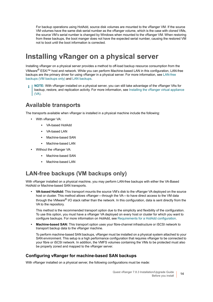For backup operations using HotAdd, source disk volumes are mounted to the vRanger VM. If the source VM volumes have the same disk serial number as the vRanger volume, which is the case with cloned VMs, the source VM's serial number is changed by Windows when mounted to the vRanger VM. When restoring from these backups, the boot manger does not have the expected serial number, causing the restored VM not to boot until the boot information is corrected.

### <span id="page-13-0"></span>**Installing vRanger on a physical server**

Installing vRanger on a physical server provides a method to off-load backup resource consumption from the VMware® ESXi™ host and network. While you can perform Machine-based LAN in this configuration, LAN-free backups are the primary driver for using vRanger in a physical server. For more information, see [LAN-free](#page-13-1)  [backups \(VM backups only\)](#page-13-1) and [LAN backups.](#page-14-1)

**NOTE:** With vRanger installed on a physical server, you can still take advantage of the vRanger VAs for backup, restore, and replication activity. For more information, see [Installing the vRanger virtual appliance](#page-16-1)   $\mathsf{I}$  [\(VA\)](#page-16-1).

#### **Available transports**

The transports available when vRanger is installed in a physical machine include the following:

- **•** With vRanger VA:
	- **▪** VA-based HotAdd
	- **▪** VA-based LAN
	- **▪** Machine-based SAN
	- **▪** Machine-based LAN
- **•** Without the vRanger VA:
	- **▪** Machine-based SAN
	- **▪** Machine-based LAN

#### <span id="page-13-1"></span>**LAN-free backups (VM backups only)**

With vRanger installed on a physical machine, you may perform LAN-free backups with either the VA-Based HotAdd or Machine-based SAN transports.

**• VA-based HotAdd:** This transport mounts the source VM's disk to the vRanger VA deployed on the source host or cluster. This method allows vRanger—through the VA—to have direct access to the VM data through the VMware® I/O stack rather than the network. In this configuration, data is sent directly from the VA to the repository.

This method is the recommended transport option due to the simplicity and flexibility of the configuration. To use this option, you must have a vRanger VA deployed on every host or cluster for which you want to configure backups. For more information on HotAdd, see [Requirements for a HotAdd configuration.](#page-11-1)

**• Machine-based SAN:** This transport option uses your fibre-channel infrastructure or iSCSI network to transport backup data to the vRanger machine.

To perform machine-based SAN backups, vRanger must be installed on a physical system attached to your SAN environment. This setup is a high performance configuration that requires vRanger to be connected to your fibre or iSCSI network. In addition, the VMFS volumes containing the VMs to be protected must also be properly zoned and mapped to the vRanger server.

#### **Configuring vRanger for machine-based SAN backups**

With vRanger installed on a physical server, the following configurations must be made: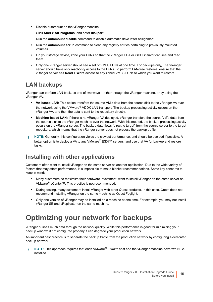**•** Disable automount on the vRanger machine:

Click **Start > All Programs**, and enter **diskpart**.

Run the **automount disable** command to disable automatic drive letter assignment.

- **•** Run the **automount scrub** command to clean any registry entries pertaining to previously mounted volumes.
- **•** On your storage device, zone your LUNs so that the vRanger HBA or iSCSI initiator can see and read them.
- **•** Only one vRanger server should see a set of VMFS LUNs at one time. For backups only, The vRanger server should have only **read-only** access to the LUNs. To perform LAN-free restores, ensure that the vRanger server has **Read + Write** access to any zoned VMFS LUNs to which you want to restore.

#### <span id="page-14-1"></span>**LAN backups**

vRanger can perform LAN backups one of two ways — either through the vRanger machine, or by using the vRanger VA.

- **VA-based LAN:** This option transfers the source VM's data from the source disk to the vRanger VA over the network using the VMware<sup>®</sup> VDDK LAN transport. The backup processing activity occurs on the vRanger VA, and then the data is sent to the repository directly.
- **Machine-based LAN:** If there is no vRanger VA deployed, vRanger transfers the source VM's data from the source disk to the vRanger machine over the network. With this method, the backup processing activity occurs on the vRanger server. The backup data flows "direct to target" from the source server to the target repository, which means that the vRanger server does not process the backup traffic.
- **NOTE:** Generally, this configuration yields the slowest performance, and should be avoided if possible. A ÷ better option is to deploy a VA to any VMware<sup>®</sup> ESXi™ servers, and use that VA for backup and restore tasks.

#### **Installing with other applications**

Customers often want to install vRanger on the same server as another application. Due to the wide variety of factors that may affect performance, it is impossible to make blanket recommendations. Some key concerns to keep in mind:

- **•** Many customers, to maximize their hardware investment, want to install vRanger on the same server as VMware® vCenter™. This practice is not recommended.
- **•** During testing, many customers install vRanger with other Quest products. In this case, Quest does not recommend installing vRanger on the same machine as Quest Foglight.
- **•** Only one version of vRanger may be installed on a machine at one time. For example, you may not install vRanger SE and vReplicator on the same machine.

## <span id="page-14-0"></span>**Optimizing your network for backups**

vRanger pushes much data through the network quickly. While this performance is good for minimizing your backup window, if not configured properly it can degrade your production network.

An important best practice is to separate the backup traffic from the production network by configuring a dedicated backup network.

**NOTE:** This approach requires that each VMware® ESXi™ host and the vRanger machine have two NICs i installed.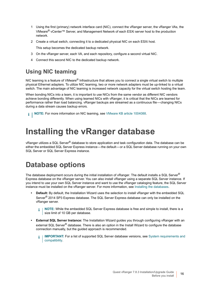- 1 Using the first (primary) network interface card (NIC), connect the vRanger server, the vRanger VAs, the VMware® vCenter™ Server, and Management Network of each ESXi server host to the production network.
- 2 Create a virtual switch, connecting it to a dedicated physical NIC on each ESXi host.

This setup becomes the dedicated backup network.

- 3 On the vRanger server, each VA, and each repository, configure a second virtual NIC.
- 4 Connect this second NIC to the dedicated backup network.

#### **Using NIC teaming**

NIC teaming is a feature of VMware<sup>®</sup> Infrastructure that allows you to connect a single virtual switch to multiple physical Ethernet adapters. To utilize NIC teaming, two or more network adapters must be up-linked to a virtual switch. The main advantage of NIC teaming is increased network capacity for the virtual switch hosting the team.

When bonding NICs into a team, it is important to use NICs from the same vendor as different NIC vendors achieve bonding differently. When using teamed NICs with vRanger, it is critical that the NICs are teamed for performance rather than load balancing. vRanger backups are streamed as a continuous file — changing NICs during a data stream causes backup errors.

**NOTE:** For more information on NIC teaming, see [VMware KB article 1004088](http://kb.vmware.com/selfservice/microsites/search.do?language=en_US&cmd=displayKC&externalId=1004088). i I

# <span id="page-15-2"></span><span id="page-15-0"></span>**Installing the vRanger database**

vRanger utilizes a SQL Server® database to store application and task configuration data. The database can be either the embedded SQL Server Express instance—the default—or a SQL Server database running on your own SQL Server or SQL Server Express instance.

## <span id="page-15-1"></span>**Database options**

The database deployment occurs during the initial installation of vRanger. The default installs a SQL Server® Express database on the vRanger server. You can also install vRanger using a separate SQL Server instance. If you intend to use your own SQL Server instance and want to use the vRanger cataloging feature, the SQL Server instance must be installed on the vRanger server. For more information, see [Installing the databases](#page-16-0).

- **Default:** By default, the Installation Wizard uses the selection to install vRanger with the embedded SQL Server<sup>®</sup> 2014 SP3 Express database. The SQL Server Express database can only be installed on the vRanger server.
	- **NOTE:** While the embedded SQL Server Express database is free and simple to install, there is a ÷. size limit of 10 GB per database.
- **External SQL Server Instance:** The Installation Wizard guides you through configuring vRanger with an external SQL Server<sup>®</sup> database. There is also an option in the Install Wizard to configure the database connection manually, but the guided approach is recommended.
	- **IMPORTANT:** For a list of supported SQL Server database versions, see System requirements and f. [compatibility](#page-21-2).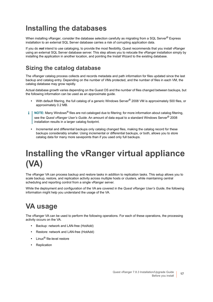## <span id="page-16-0"></span>**Installing the databases**

When installing vRanger, consider the database selection carefully as migrating from a SQL Server® Express installation to an external SQL Server database carries a risk of corrupting application data.

If you do *not* intend to use cataloging, to provide the most flexibility, Quest recommends that you install vRanger using an external SQL Server database server. This step allows you to relocate the vRanger installation simply by installing the application in another location, and pointing the Install Wizard to the existing database.

#### **Sizing the catalog database**

The vRanger catalog process collects and records metadata and path information for files updated since the last backup and catalog entry. Depending on the number of VMs protected, and the number of files in each VM, the catalog database may grow rapidly.

Actual database growth varies depending on the Guest OS and the number of files changed between backups, but the following information can be used as an approximate guide.

- **•** With default filtering, the full catalog of a generic Windows Server® 2008 VM is approximately 500 files, or approximately 0.2 MB.
- **NOTE:** Many Windows® files are not cataloged due to filtering; for more information about catalog filtering, ÷ see the *Quest vRanger User's Guide*. An amount of data equal to a standard Windows Server® 2008 installation results in a larger catalog footprint.
	- **•** Incremental and differential backups only catalog changed files, making the catalog record for these backups considerably smaller. Using incremental or differential backups, or both, allows you to store catalog data for many more savepoints than if you used only full backups.

# <span id="page-16-1"></span>**Installing the vRanger virtual appliance (VA)**

The vRanger VA can process backup and restore tasks in addition to replication tasks. This setup allows you to scale backup, restore, and replication activity across multiple hosts or clusters, while maintaining central scheduling and reporting control from a single vRanger server.

While the deployment and configuration of the VA are covered in the *Quest vRanger User's Guide*, the following information might help you understand the usage of the VA.

## <span id="page-16-2"></span>**VA usage**

The vRanger VA can be used to perform the following operations. For each of these operations, the processing activity occurs on the VA.

- **•** Backup: network and LAN-free (HotAdd)
- **•** Restore: network and LAN-free (HotAdd)
- **•** Linux® file-level restore
- **•** Replication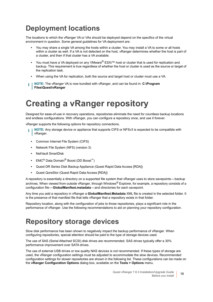## <span id="page-17-0"></span>**Deployment locations**

The locations to which the vRanger VA or VAs should be deployed depend on the specifics of the virtual environment in question. Some general guidelines for VA deployment are:

- **•** You may share a single VA among the hosts within a cluster. You may install a VA to some or all hosts within a cluster as well. If a VA is not detected on the host, vRanger determines whether the host is part of a cluster, and then if that cluster has a VA available.
- **•** You must have a VA deployed on any VMware® ESXi™ host or cluster that is used for replication and backup. This requirement is true regardless of whether the host or cluster is used as the source or target of the replication task.
- **•** When using the VA for replication, both the source and target host or cluster must use a VA.
- **NOTE:** The vRanger VA is now bundled with vRanger, and can be found in: **C:\Program**  f **Files\Quest\vRanger**

## <span id="page-17-1"></span>**Creating a vRanger repository**

Designed for ease-of-use in recovery operations, repositories eliminate the need for countless backup locations and endless configurations. With vRanger, you can configure a repository once, and use it forever.

vRanger supports the following options for repository connections.

- **NOTE:** Any storage device or appliance that supports CIFS or NFSv3 is expected to be compatible with ÷ vRanger.
	- **•** Common Internet File System (CIFS)
	- **•** Network File System (NFS) (version 3)
	- **•** NetVault SmartDisk
	- **•** EMC® Data Domain® Boost (DD Boost™)
	- **•** Quest DR Series Disk Backup Appliance (Quest Rapid Data Access [RDA])
	- **•** Quest QoreStor (Quest Rapid Data Access [RDA])

A repository is essentially a directory on a supported file system that vRanger uses to store savepoints — backup archives. When viewed from outside vRanger, through Windows<sup>®</sup> Explorer, for example, a repository consists of a configuration file — **GlobalManifest.metadata** — and directories for each savepoint.

Any time you add a repository in vRanger a **GlobalManifest.Metadata** XML file is created in the selected folder. It is the presence of that manifest file that tells vRanger that a repository exists in that folder.

Repository location, along with the configuration of jobs to those repositories, plays a significant role in the performance of vRanger. Use the following recommendations to aid on planning your repository configuration.

## <span id="page-17-2"></span>**Repository storage devices**

Slow disk performance has been shown to negatively impact the backup performance of vRanger. When configuring repositories, special attention should be paid to the type of storage devices used.

The use of SAS (Serial Attached SCSI) disk drives are recommended. SAS drives typically offer a 30% performance improvement over SATA drives.

The use of external USB drives or low quality NAS devices is not recommended. If these types of storage are used, the vRanger configuration settings must be adjusted to accommodate the slow devices. Recommended configuration settings for slower repositories are shown in the following list. These configurations can be made on the **vRanger Configuration Options** dialog box, available on the **Tools > Options** menu.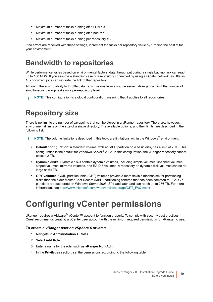- **•** Maximum number of tasks running off a LUN = **3**
- **•** Maximum number of tasks running off a host = **1**
- **•** Maximum number of tasks running per repository = **2**

If no errors are received with these settings, increment the tasks per repository value by 1 to find the best fit for your environment.

## <span id="page-18-0"></span>**Bandwidth to repositories**

While performance varies based on environmental factors, data throughput during a single backup task can reach up to 100 MB/s. If you assume a standard case of a repository connected by using a Gigabit network, as little as 10 concurrent jobs can saturate the link to that repository.

Although there is no ability to throttle data transmissions from a source server, vRanger can limit the number of simultaneous backup tasks on a per-repository level.

**NOTE:** This configuration is a global configuration, meaning that it applies to all repositories. i I

## <span id="page-18-1"></span>**Repository size**

There is no limit to the number of savepoints that can be stored in a vRanger repository. There are, however, environmental limits on the size of a single directory. The available options, and their limits, are described in the following list.

- **NOTE:** The volume limitations described in this topic are limitations within the Windows® environment. $\mathbf{i}$ 
	- **Default configuration**: A standard volume, with an MBR partition on a basic disk, has a limit of 2 TB. This configuration is the default for Windows Server<sup>®</sup> 2003. In this configuration, the vRanger repository cannot exceed 2 TB.
	- **Dynamic disks**: Dynamic disks contain dynamic volumes, including simple volumes, spanned volumes, striped volumes, mirrored volumes, and RAID-5 volumes. A repository on dynamic disk volumes can be as large as 64 TB.
	- **GPT volumes**: GUID partition table (GPT) volumes provide a more flexible mechanism for partitioning disks than the older Master Boot Record (MBR) partitioning scheme that has been common to PCs. GPT partitions are supported on Windows Server 2003, SP1 and later, and can reach up to 256 TB. For more information, see [http://www.microsoft.com/whdc/device/storage/GPT\\_FAQ.mspx](http://www.microsoft.com/whdc/device/storage/GPT_FAQ.mspx)

# <span id="page-18-2"></span>**Configuring vCenter permissions**

vRanger requires a VMware® vCenter™ account to function properly. To comply with security best practices, Quest recommends creating a vCenter user account with the minimum required permissions for vRanger to use.

#### *To create a vRanger user on vSphere 6 or later:*

- 1 Navigate to **Administration > Roles**.
- 2 Select **Add Role**.
- 3 Enter a name for the role, such as **vRanger Non-Admin**.
- 4 In the **Privileges** section, set the permissions according to the following table: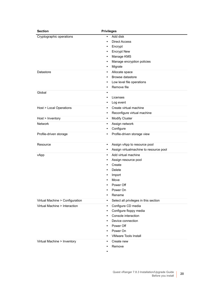| <b>Section</b>                  | <b>Privileges</b>                                  |  |  |
|---------------------------------|----------------------------------------------------|--|--|
| Cryptographic operations        | Add disk<br>٠                                      |  |  |
|                                 | <b>Direct Access</b><br>$\bullet$                  |  |  |
|                                 | Encrypt<br>$\bullet$                               |  |  |
|                                 | <b>Encrypt New</b><br>$\bullet$                    |  |  |
|                                 | Manage KMS<br>$\bullet$                            |  |  |
|                                 | Manage encryption policies<br>$\bullet$            |  |  |
|                                 | Migrate<br>$\bullet$                               |  |  |
| Datastore                       | Allocate space<br>$\bullet$                        |  |  |
|                                 | Browse datastore<br>$\bullet$                      |  |  |
|                                 | Low level file operations<br>$\bullet$             |  |  |
|                                 | Remove file<br>$\bullet$                           |  |  |
| Global                          | $\bullet$                                          |  |  |
|                                 | Licenses<br>$\bullet$                              |  |  |
|                                 | Log event<br>٠                                     |  |  |
| Host > Local Operations         | Create virtual machine<br>$\bullet$                |  |  |
|                                 | Reconfigure virtual machine<br>٠                   |  |  |
| Host > Inventory                | <b>Modify Cluster</b><br>$\bullet$                 |  |  |
| <b>Network</b>                  | Assign network<br>$\bullet$                        |  |  |
|                                 | Configure<br>$\bullet$                             |  |  |
| Profile-driven storage          | Profile-driven storage view<br>$\bullet$           |  |  |
| Resource                        | Assign vApp to resource pool<br>$\bullet$          |  |  |
|                                 | Assign virtualmachine to resource pool<br>٠        |  |  |
| vApp                            | Add virtual machine<br>$\bullet$                   |  |  |
|                                 | Assign resource pool<br>$\bullet$                  |  |  |
|                                 | Create                                             |  |  |
|                                 | <b>Delete</b><br>$\bullet$                         |  |  |
|                                 | Import<br>$\bullet$                                |  |  |
|                                 | Move                                               |  |  |
|                                 | Power Off                                          |  |  |
|                                 | Power On                                           |  |  |
|                                 | Rename<br>٠                                        |  |  |
| Virtual Machine > Configuration | Select all privileges in this section<br>$\bullet$ |  |  |
| Virtual Machine > Interaction   | Configure CD media<br>$\bullet$                    |  |  |
|                                 | Configure floppy media<br>$\bullet$                |  |  |
|                                 | Console interaction<br>$\bullet$                   |  |  |
|                                 | Device connection<br>$\bullet$                     |  |  |
|                                 | Power Off<br>$\bullet$                             |  |  |
|                                 | Power On<br>$\bullet$                              |  |  |
|                                 | <b>VMware Tools Install</b>                        |  |  |
| Virtual Machine > Inventory     | Create new<br>$\bullet$                            |  |  |
|                                 | Remove<br>$\bullet$                                |  |  |
|                                 | ٠                                                  |  |  |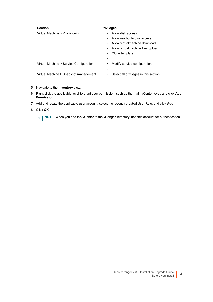| <b>Section</b>                          | <b>Privileges</b>                          |
|-----------------------------------------|--------------------------------------------|
| Virtual Machine > Provisioning          | Allow disk access<br>٠                     |
|                                         | Allow read-only disk access<br>$\bullet$   |
|                                         | Allow virtualmachine download<br>$\bullet$ |
|                                         | • Allow virtualmachine files upload        |
|                                         | Clone template<br>٠                        |
|                                         |                                            |
| Virtual Machine > Service Configuration | Modify service configuration<br>٠          |
|                                         | ٠                                          |
| Virtual Machine > Snapshot management   | Select all privileges in this section      |

#### 5 Navigate to the **Inventory** view.

- 6 Right-click the applicable level to grant user permission, such as the main vCenter level, and click **Add Permission**.
- 7 Add and locate the applicable user account, select the recently created User Role, and click **Add**.

#### 8 Click **OK**.

**i** | NOTE: When you add the vCenter to the vRanger inventory, use this account for authentication.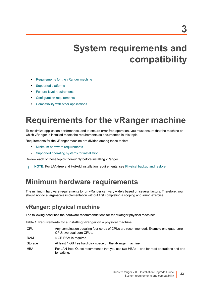# <span id="page-21-2"></span>**System requirements and compatibility**

- <span id="page-21-0"></span>**•** [Requirements for the vRanger machine](#page-21-1)
- **•** [Supported platforms](#page-23-1)
- **•** [Feature-level requirements](#page-27-0)
- **•** [Configuration requirements](#page-28-3)
- **•** [Compatibility with other applications](#page-30-0)

# <span id="page-21-1"></span>**Requirements for the vRanger machine**

To maximize application performance, and to ensure error-free operation, you must ensure that the machine on which vRanger is installed meets the requirements as documented in this topic.

Requirements for the vRanger machine are divided among these topics:

- **•** [Minimum hardware requirements](#page-21-3)
- **•** Supported operating systems for installation

Review each of these topics thoroughly before installing vRanger.

**NOTE:** For LAN-free and HotAdd installation requirements, see [Physical backup and restore](#page-27-2). i I

### <span id="page-21-3"></span>**Minimum hardware requirements**

The minimum hardware requirements to run vRanger can vary widely based on several factors. Therefore, you should not do a large-scale implementation without first completing a scoping and sizing exercise.

#### **vRanger: physical machine**

The following describes the hardware recommendations for the vRanger physical machine:

**Table 1. Requirements for a installing vRanger on a physical machine**

| <b>CPU</b> | Any combination equaling four cores of CPUs are recommended. Example one quad-core<br>CPU; two dual-core CPUs. |
|------------|----------------------------------------------------------------------------------------------------------------|
| <b>RAM</b> | 4 GB RAM is required.                                                                                          |
| Storage    | At least 4 GB free hard disk space on the vRanger machine.                                                     |
| <b>HBA</b> | For LAN-free, Quest recommends that you use two HBAs—one for read operations and one<br>for writing.           |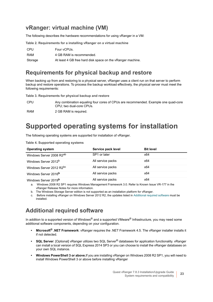#### **vRanger: virtual machine (VM)**

The following describes the hardware recommendations for using vRanger in a VM:

**Table 2. Requirements for a installing vRanger on a virtual machine**

| CPU     | Four vCPUs.                                                |
|---------|------------------------------------------------------------|
| RAM     | 4 GB RAM is recommended.                                   |
| Storage | At least 4 GB free hard disk space on the vRanger machine. |

#### **Requirements for physical backup and restore**

When backing up from and restoring to a physical server, vRanger uses a client run on that server to perform backup and restore operations. To process the backup workload effectively, the physical server must meet the following requirements:

**Table 3. Requirements for physical backup and restore**

| CPU | Any combination equaling four cores of CPUs are recommended. Example one quad-core |
|-----|------------------------------------------------------------------------------------|
|     | CPU: two dual-core CPUs.                                                           |

RAM 2 GB RAM is required.

## **Supported operating systems for installation**

The following operating systems are supported for installation of vRanger.

**Table 4. Supported operating systems**

| <b>Operating system</b>              | Service pack level | <b>Bit level</b> |  |
|--------------------------------------|--------------------|------------------|--|
| Windows Server 2008 R2 <sup>ab</sup> | SP1 or later       | x64              |  |
| Windows Server 2012 <sup>b</sup>     | All service packs  | x64              |  |
| Windows Server 2012 R2 <sup>bc</sup> | All service packs  | x64              |  |
| Windows Server 2016 <sup>b</sup>     | All service packs  | x64              |  |
| Windows Server 2019 <sup>b</sup>     | All service packs  | x64              |  |

a. Windows 2008 R2 SP1 requires Windows Management Framework 3.0. Refer to Known Issue VR-177 in the vRanger Release Notes for more information.

b. The Windows Storage Server edition is not supported as an installation platform for vRanger.

c. Before installing vRanger on Windows Server 2012 R2, the updates listed in Additional required software must be installed.

#### **Additional required software**

In addition to a supported version of Windows<sup>®</sup> and a supported VMware<sup>®</sup> Infrastructure, you may need some additional software components, depending on your configuration.

- **Microsoft® .NET Framework**: vRanger requires the .NET Framework 4.5. The vRanger installer installs it if not detected.
- **SQL Server**: [Optional] vRanger utilizes two SQL Server® databases for application functionality. vRanger can install a local version of SQL Express 2014 SP3 or you can choose to install the vRanger databases on your own SQL instance.
- **Windows PowerShell 3 or above.**If you are installing vRanger on Windows 2008 R2 SP1, you will need to install Windows PowerShell 3 or above before installing vRanger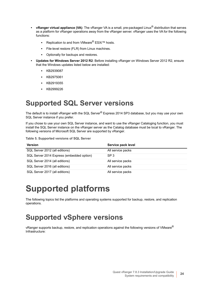- **vRanger virtual appliance (VA)**: The vRanger VA is a small, pre-packaged Linux® distribution that serves as a platform for vRanger operations away from the vRanger server. vRanger uses the VA for the following functions:
	- **▪** Replication to and from VMware® ESXi™ hosts.
	- **▪** File-level restore (FLR) from Linux machines.
	- **▪** Optionally for backups and restores.
- **Updates for Windows Server 2012 R2**: Before installing vRanger on Windows Server 2012 R2, ensure that the Windows updates listed below are installed:
	- **▪** KB2939087
	- **▪** KB2975061
	- **▪** KB2919355
	- **▪** KB2999226

### <span id="page-23-0"></span>**Supported SQL Server versions**

The default is to install vRanger with the SQL Server<sup>®</sup> Express 2014 SP3 database, but you may use your own SQL Server instance if you prefer.

If you chose to use your own SQL Server instance, and want to use the vRanger Cataloging function, you must install the SQL Server instance on the vRanger server as the Catalog database must be local to vRanger. The following versions of Microsoft SQL Server are supported by vRanger.

**Table 5. Supported versions of SQL Server**

| <b>Version</b>                            | Service pack level |
|-------------------------------------------|--------------------|
| SQL Server 2012 (all editions)            | All service packs  |
| SQL Server 2014 Express (embedded option) | SP <sub>3</sub>    |
| SQL Server 2014 (all editions)            | All service packs  |
| SQL Server 2016 (all editions)            | All service packs  |
| SQL Server 2017 (all editions)            | All service packs  |

# <span id="page-23-1"></span>**Supported platforms**

The following topics list the platforms and operating systems supported for backup, restore, and replication operations.

## <span id="page-23-2"></span>**Supported vSphere versions**

vRanger supports backup, restore, and replication operations against the following versions of VMware<sup>®</sup> Infrastructure: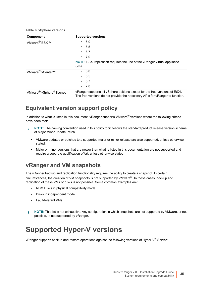|  |  | Table 6. vSphere versions |  |
|--|--|---------------------------|--|
|--|--|---------------------------|--|

| Component                                        | <b>Supported versions</b>                                                                                                                                   |
|--------------------------------------------------|-------------------------------------------------------------------------------------------------------------------------------------------------------------|
| VMware <sup>®</sup> ESXi™                        | 6.0<br>$\bullet$                                                                                                                                            |
|                                                  | 6.5                                                                                                                                                         |
|                                                  | $\cdot$ 6.7                                                                                                                                                 |
|                                                  | $\cdot$ 7.0                                                                                                                                                 |
|                                                  | <b>NOTE:</b> ESXI replication requires the use of the vRanger virtual appliance<br>(VA).                                                                    |
| VMware <sup>®</sup> vCenter™                     | 6.0<br>$\bullet$                                                                                                                                            |
|                                                  | $\cdot$ 6.5                                                                                                                                                 |
|                                                  | $\cdot$ 6.7                                                                                                                                                 |
|                                                  | $\cdot$ 7.0                                                                                                                                                 |
| VMware <sup>®</sup> vSphere <sup>®</sup> license | vRanger supports all vSphere editions except for the free versions of ESXi.<br>The free versions do not provide the necessary APIs for vRanger to function. |

#### **Equivalent version support policy**

In addition to what is listed in this document, vRanger supports VMware<sup>®</sup> versions where the following criteria have been met:

- **NOTE:** The naming convention used in this policy topic follows the standard product release version scheme f of Major.Minor.Update.Patch.
	- **•** VMware updates or patches to a supported major or minor release are also supported, unless otherwise stated.
	- **•** Major or minor versions that are newer than what is listed in this documentation are not supported and require a separate qualification effort, unless otherwise stated.

#### **vRanger and VM snapshots**

The vRanger backup and replication functionality requires the ability to create a snapshot. In certain circumstances, the creation of VM snapshots is not supported by VMware®. In these cases, backup and replication of these VMs or disks is not possible. Some common examples are:

- **•** RDM Disks in physical compatibility mode
- **•** Disks in independent mode
- **•** Fault-tolerant VMs
- **NOTE:** This list is not exhaustive. Any configuration in which snapshots are not supported by VMware, or not i. possible, is not supported by vRanger.

### <span id="page-24-0"></span>**Supported Hyper-V versions**

vRanger supports backup and restore operations against the following versions of Hyper-V® Server: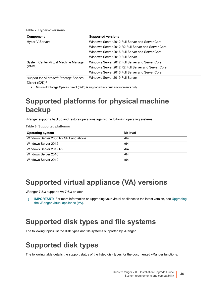**Table 7. Hyper-V versions**

| Component                                      | <b>Supported versions</b>                          |
|------------------------------------------------|----------------------------------------------------|
| Hyper-V Servers                                | Windows Server 2012 Full Server and Server Core    |
|                                                | Windows Server 2012 R2 Full Server and Server Core |
|                                                | Windows Server 2016 Full Server and Server Core    |
|                                                | Windows Server 2019 Full Server                    |
| System Center Virtual Machine Manager<br>(VMM) | Windows Server 2012 Full Server and Server Core    |
|                                                | Windows Server 2012 R2 Full Server and Server Core |
|                                                | Windows Server 2016 Full Server and Server Core    |
| Support for Microsoft Storage Spaces           | Windows Server 2019 Full Server                    |

Direct (S2D)<sup>a</sup>

a. Microsoft Storage Spaces Direct (S2D) is supported in virtual environments only.

## <span id="page-25-2"></span>**Supported platforms for physical machine backup**

vRanger supports backup and restore operations against the following operating systems:

**Table 8. Supported platforms**

| <b>Operating system</b>              | <b>Bit level</b> |
|--------------------------------------|------------------|
| Windows Server 2008 R2 SP1 and above | x64              |
| Windows Server 2012                  | x64              |
| Windows Server 2012 R2               | x64              |
| Windows Server 2016                  | x64              |
| Windows Server 2019                  | x64              |

### <span id="page-25-4"></span><span id="page-25-0"></span>**Supported virtual appliance (VA) versions**

vRanger 7.8.3 supports VA 7.6.3 or later.

**I IMPORTANT:** For more information on upgrading your virtual appliance to the latest version, see Upgrading f. [the vRanger virtual appliance \(VA\)](#page-42-3).

### <span id="page-25-1"></span>**Supported disk types and file systems**

The following topics list the disk types and file systems supported by vRanger.

### <span id="page-25-3"></span>**Supported disk types**

The following table details the support status of the listed disk types for the documented vRanger functions.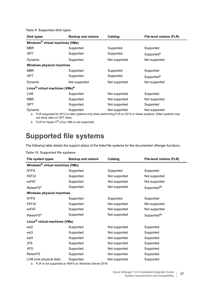**Table 9. Supported disk types**

| Disk types                                                         | <b>Backup and restore</b> | Catalog       | File-level restore (FLR) |  |  |  |
|--------------------------------------------------------------------|---------------------------|---------------|--------------------------|--|--|--|
| Windows <sup>®</sup> virtual machines (VMs)                        |                           |               |                          |  |  |  |
| <b>MBR</b>                                                         | Supported                 | Supported     | Supported                |  |  |  |
| <b>GPT</b>                                                         | Supported                 | Supported     | Supported <sup>a</sup>   |  |  |  |
| Dynamic                                                            | Supported                 | Not supported | Not supported            |  |  |  |
| Windows physical machines                                          |                           |               |                          |  |  |  |
| <b>MBR</b>                                                         | Supported                 | Supported     | Supported                |  |  |  |
| <b>GPT</b>                                                         | Supported                 | Supported     | Supported <sup>a</sup>   |  |  |  |
| Dynamic                                                            | Not supported             | Not supported | Not supported            |  |  |  |
| Linux <sup>®</sup> virtual machines (VMs) <sup>b</sup>             |                           |               |                          |  |  |  |
| <b>LVM</b>                                                         | Supported                 | Not supported | Supported                |  |  |  |
| <b>MBR</b>                                                         | Supported                 | Not supported | Not supported            |  |  |  |
| <b>GPT</b>                                                         | Supported                 | Not supported | Supported                |  |  |  |
| Dynamic<br>$\sim$ $\sim$ $\sim$ $\sim$ $\sim$ $\sim$ $\sim$ $\sim$ | Supported                 | Not supported | Not supported            |  |  |  |

a. FLR supported for 2012 or later systems only when performing FLR on 2012 or newer systems. Older systems may not show data on GPT disks.

b. FLR for Hyper-V<sup>®</sup> Linux VMs is not supported.

## **Supported file systems**

The following table details the support status of the listed file systems for the documented vRanger functions.

| File system types                           | <b>Backup and restore</b> | Catalog       | File-level restore (FLR) |  |  |  |  |
|---------------------------------------------|---------------------------|---------------|--------------------------|--|--|--|--|
| Windows <sup>®</sup> virtual machines (VMs) |                           |               |                          |  |  |  |  |
| <b>NTFS</b>                                 | Supported                 | Supported     | Supported                |  |  |  |  |
| FAT32                                       | Supported                 | Not supported | Not supported            |  |  |  |  |
| exFAT                                       | Supported                 | Not supported | Not supported            |  |  |  |  |
| ReiserFS <sup>a</sup>                       | Supported                 | Not supported | Supported <sup>ab</sup>  |  |  |  |  |
| Windows physical machines                   |                           |               |                          |  |  |  |  |
| <b>NTFS</b>                                 | Supported                 | Supported     | Supported                |  |  |  |  |
| FAT32                                       | Supported                 | Not supported | Not supported            |  |  |  |  |
| exFAT                                       | Supported                 | Not supported | Not supported            |  |  |  |  |
| ReiserFS <sup>a</sup>                       | Supported                 | Not supported | Supported <sup>ab</sup>  |  |  |  |  |
| Linux <sup>®</sup> virtual machines (VMs)   |                           |               |                          |  |  |  |  |
| ext <sub>2</sub>                            | Supported                 | Not supported | Supported                |  |  |  |  |
| ext <sub>3</sub>                            | Supported                 | Not supported | Supported                |  |  |  |  |
| ext4                                        | Supported                 | Not supported | Supported                |  |  |  |  |
| <b>JFS</b>                                  | Supported                 | Not supported | Supported                |  |  |  |  |
| <b>XFS</b>                                  | Supported                 | Not supported | Supported                |  |  |  |  |
| <b>ReiserFS</b>                             | Supported                 | Not supported | Supported                |  |  |  |  |
| LVM (one physical disk)                     | Supported                 | Not supported | Supported                |  |  |  |  |

#### **Table 10. Supported file systems**

a. FLR is not supported on ReFS on Windows Server 2019.

÷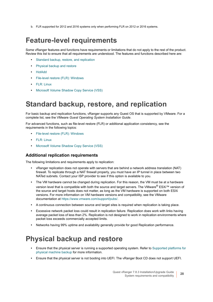b. FLR supported for 2012 and 2016 systems only when performing FLR on 2012 or 2016 systems.

### <span id="page-27-0"></span>**Feature-level requirements**

Some vRanger features and functions have requirements or limitations that do not apply to the rest of the product. Review this list to ensure that all requirements are understood. The features and functions described here are:

- **•** [Standard backup, restore, and replication](#page-27-1)
- **•** [Physical backup and restore](#page-27-2)
- **•** [HotAdd](#page-28-0)
- **•** [File-level restore \(FLR\): Windows](#page-28-1)
- **•** [FLR: Linux](#page-28-2)
- **•** [Microsoft Volume Shadow Copy Service \(VSS\)](#page-30-1)

### <span id="page-27-1"></span>**Standard backup, restore, and replication**

For basic backup and replication functions, vRanger supports any Guest OS that is supported by VMware. For a complete list, see the VMware *Guest Operating System Installation Guide*.

For advanced functions, such as file-level restore (FLR) or additional application consistency, see the requirements in the following topics:

- **•** [File-level restore \(FLR\): Windows](#page-28-1)
- **•** [FLR: Linux](#page-28-2)
- **•** [Microsoft Volume Shadow Copy Service \(VSS\)](#page-30-1)

#### **Additional replication requirements**

The following limitations and requirements apply to replication:

- **•** vRanger replication does not operate with servers that are behind a network address translation (NAT) firewall. To replicate through a NAT firewall properly, you must have an IP tunnel in place between two NATed subnets. Contact your ISP provider to see if this option is available to you.
- **•** The VM hardware cannot be changed during replication. For this reason, the VM must be at a hardware version level that is compatible with both the source and target servers. The VMware® ESXi™ version of the source and target hosts does not matter, as long as the VM hardware is supported on both ESXi versions. For more information on VM hardware versions and compatibility, see the VMware documentation at [https://www.vmware.com/support/pubs/.](https://www.vmware.com/support/pubs/)
- **•** A continuous connection between source and target sites is required when replication is taking place.
- **•** Excessive network packet loss could result in replication failure. Replication does work with links having average packet loss of less than 2%. Replication is not designed to work in replication environments where packet loss exceeds commercially accepted limits.
- **•** Networks having 99% uptime and availability generally provide for good Replication performance.

### <span id="page-27-2"></span>**Physical backup and restore**

- **•** Ensure that the physical server is running a supported operating system. Refer to [Supported platforms for](#page-25-2)  [physical machine backup](#page-25-2) for more information.
- **•** Ensure that the physical server is not booting into UEFI. The vRanger Boot CD does not support UEFI.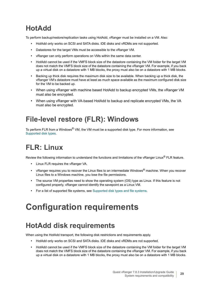## <span id="page-28-0"></span>**HotAdd**

To perform backup/restore/replication tasks using HotAdd, vRanger must be installed on a VM. Also:

- **•** HotAdd only works on SCSI and SATA disks. IDE disks and vRDMs are not supported.
- **•** Datastores for the target VMs must be accessible to the vRanger VM.
- **•** vRanger can only perform operations on VMs within the same data center.
- **•** HotAdd cannot be used if the VMFS block size of the datastore containing the VM folder for the target VM does not match the VMFS block size of the datastore containing the vRanger VM. For example, if you back up a virtual disk on a datastore with 1 MB blocks, the proxy must also be on a datastore with 1 MB blocks.
- **•** Backing up thick disk requires the maximum disk size to be available. When backing up a thick disk, the vRanger VM's datastore must have at least as much space available as the maximum configured disk size for the VM to be backed up.
- **•** When using vRanger with machine based HotAdd to backup encrypted VMs, the vRanger VM must also be encrypted.
- **•** When using vRanger with VA-based HotAdd to backup and replicate encrypted VMs, the VA must also be encrypted.

## <span id="page-28-1"></span>**File-level restore (FLR): Windows**

To perform FLR from a Windows<sup>®</sup> VM, the VM must be a supported disk type. For more information, see [Supported disk types.](#page-25-3)

## <span id="page-28-2"></span>**FLR: Linux**

Review the following information to understand the functions and limitations of the vRanger Linux® FLR feature.

- **•** Linux FLR requires the vRanger VA.
- **•** vRanger requires you to recover the Linux files to an intermediate Windows® machine. When you recover Linux files to a Windows machine, you lose the file permissions.
- **•** The source VM properties need to show the operating system (OS) type as Linux. If this feature is not configured properly, vRanger cannot identify the savepoint as a Linux VM.
- **•** For a list of supported file systems, see [Supported disk types and file systems.](#page-25-1)

# <span id="page-28-3"></span>**Configuration requirements**

## <span id="page-28-4"></span>**HotAdd disk requirements**

When using the HotAdd transport, the following disk restrictions and requirements apply.

- **•** HotAdd only works on SCSI and SATA disks. IDE disks and vRDMs are not supported.
- **•** HotAdd cannot be used if the VMFS block size of the datastore containing the VM folder for the target VM does not match the VMFS block size of the datastore containing the vRanger VM. For example, if you back up a virtual disk on a datastore with 1 MB blocks, the proxy must also be on a datastore with 1 MB blocks.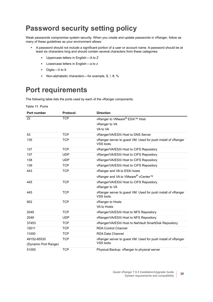## <span id="page-29-0"></span>**Password security setting policy**

Weak passwords compromise system security. When you create and update passwords in vRanger, follow as many of these guidelines as your environment allows:

- **•** A password should not include a significant portion of a user or account name. A password should be at least six characters long and should contain several characters from these categories:
	- **▪** Uppercase letters in English A to Z
	- **▪** Lowercase letters in English a to z
	- **▪** Digits 0 to 9
	- **▪** Non-alphabetic characters for example, \$, !, #, %

## <span id="page-29-1"></span>**Port requirements**

The following table lists the ports used by each of the vRanger components.

**Table 11. Ports**

| Port number          | Protocol   | <b>Direction</b>                                                           |
|----------------------|------------|----------------------------------------------------------------------------|
| 22                   | <b>TCP</b> | vRanger to VMware® ESXi™ Host                                              |
|                      |            | vRanger to VA                                                              |
|                      |            | VA to VA                                                                   |
| 53                   | <b>TCP</b> | vRanger/VA/ESXi Host to DNS Server                                         |
| 135                  | <b>TCP</b> | vRanger server to guest VM. Used for push install of vRanger<br>VSS tools. |
| 137                  | <b>TCP</b> | vRanger/VA/ESXi Host to CIFS Repository                                    |
| 137                  | <b>UDP</b> | vRanger/VA/ESXi Host to CIFS Repository                                    |
| 138                  | <b>UDP</b> | vRanger/VA/ESXi Host to CIFS Repository                                    |
| 139                  | <b>TCP</b> | vRanger/VA/ESXi Host to CIFS Repository                                    |
| 443                  | <b>TCP</b> | vRanger and VA to ESXi hosts                                               |
|                      |            | vRanger and VA to VMware® vCenter™                                         |
| 445                  | <b>TCP</b> | vRanger/VA/ESXi Host to CIFS Repository                                    |
|                      |            | vRanger to VA                                                              |
| 445                  | <b>TCP</b> | vRanger server to guest VM. Used for push install of vRanger<br>VSS tools. |
| 902                  | <b>TCP</b> | vRanger to Hosts                                                           |
|                      |            | VA to Hosts                                                                |
| 2049                 | <b>TCP</b> | vRanger/VA/ESXi Host to NFS Repository                                     |
| 2049                 | <b>UDP</b> | vRanger/VA/ESXi Host to NFS Repository                                     |
| 37453                | <b>TCP</b> | vRanger/VA/ESXi Host to NetVault SmartDisk Repository                      |
| 10011                | <b>TCP</b> | <b>RDA Control Channel</b>                                                 |
| 11000                | <b>TCP</b> | <b>RDA Data Channel</b>                                                    |
| 49152-65535          | <b>TCP</b> | vRanger server to guest VM. Used for push install of vRanger               |
| (Dynamic Port Range) |            | VSS tools.                                                                 |
| 51000                | <b>TCP</b> | Physical Backup: vRanger to physical server                                |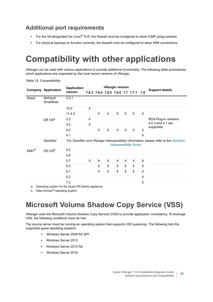#### **Additional port requirements**

- **•** For the VA designated for Linux® FLR, the firewall must be configured to allow ICMP (ping) packets.
- **•** For physical backups to function correctly, the firewall must be configured to allow WMI connections.

# <span id="page-30-0"></span>**Compatibility with other applications**

vRanger can be used with various applications to provide additional functionality. The following table summarizes which applications are supported by the most recent versions of vRanger.

**Table 12. Compatibility**

|                   | <b>Company Application</b>                          | <b>Application</b> | vRanger version |                                   |   |   |   |                                |     |                                                                                     |
|-------------------|-----------------------------------------------------|--------------------|-----------------|-----------------------------------|---|---|---|--------------------------------|-----|-------------------------------------------------------------------------------------|
|                   |                                                     | version            |                 | 7.6.3 7.6.4 7.6.5 7.6.6 7.7 7.7.1 |   |   |   |                                | 7.8 | <b>Support details</b>                                                              |
| Quest             | <b>NetVault</b><br>SmartDisk                        | 2.0.1              |                 |                                   |   |   |   |                                |     |                                                                                     |
|                   |                                                     | 10.0               | X               |                                   |   |   |   |                                |     |                                                                                     |
|                   |                                                     | 11.4.5             |                 | X                                 | X | X | X | $\times$                       | X   |                                                                                     |
|                   | DR OS <sup>a</sup>                                  | 3.2                | X               |                                   |   |   |   |                                |     | RDA Plug-in versions                                                                |
|                   |                                                     | 3.4                | X               |                                   |   |   |   |                                |     | 4.0.3 and 4.1 are<br>supported.                                                     |
|                   |                                                     | 4.0                |                 | X                                 | X | X | X | $\mathsf{x}$                   | X   |                                                                                     |
|                   |                                                     | 4.1                |                 |                                   |   |   |   |                                | X   |                                                                                     |
|                   | QoreStor                                            |                    |                 |                                   |   |   |   | <b>Interoperability Guide.</b> |     | For QoreStor and vRanger interoperability information, please refer to the QoreStor |
| $EMC^{\circledR}$ | DD OS <sup>b</sup>                                  | 5.5                |                 |                                   |   |   |   |                                |     |                                                                                     |
|                   |                                                     | 5.6                |                 |                                   |   |   |   |                                |     |                                                                                     |
|                   |                                                     | 5.7                | X               | X                                 | X | X | X | X                              | X   |                                                                                     |
|                   |                                                     | 6.0                |                 | X                                 | X | X | X | X                              | X   |                                                                                     |
|                   |                                                     | 6.1                |                 | X                                 | X | X | X | X                              | X   |                                                                                     |
|                   |                                                     | 6.2                |                 |                                   |   |   |   |                                | X   |                                                                                     |
| a.                | Operating system for the Quest DR Series appliance. | 7.2                |                 |                                   |   |   |   |                                | X   |                                                                                     |

b. Data Domain<sup>®</sup> operating system

## <span id="page-30-1"></span>**Microsoft Volume Shadow Copy Service (VSS)**

vRanger uses the Microsoft Volume Shadow Copy Service (VSS) to provide application consistency. To leverage VSS, the following conditions must be met:

The source server must be running an operating system that supports VSS quiescing. The following lists the supported guest operating systems:

- **▪** Windows Server 2008 R2 SP1
- **▪** Windows Server 2012
- **▪** Windows Server 2012 R2
- **▪** Windows Server 2016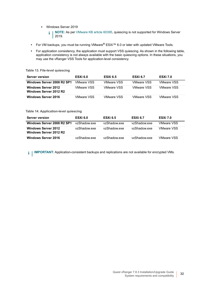- **▪** Windows Server 2019
	- **NOTE:** As per [VMware KB article 60395,](http://kb.vmware.com/s/article/60395) quiescing is not supported for Windows Server  $\ddot{\mathbf{I}}$ 2019.
- **•** For VM backups, you must be running VMware® ESXi™ 6.0 or later with updated VMware Tools.
- **•** For application consistency, the application must support VSS quiescing. As shown in the following table, application consistency is not always available with the basic quiescing options. In these situations, you may use the vRanger VSS Tools for application-level consistency.

**Table 13. File-level quiescing**

| <b>Server version</b>                                | ESXi 6.0    | <b>ESXI 6.5</b> | <b>ESXi 6.7</b>   | <b>ESXi 7.0</b>   |
|------------------------------------------------------|-------------|-----------------|-------------------|-------------------|
| Windows Server 2008 R2 SP1                           | VMware VSS  | VMware VSS      | <b>VMware VSS</b> | VMware VSS        |
| <b>Windows Server 2012</b><br>Windows Server 2012 R2 | VMware VSS. | VMware VSS      | <b>VMware VSS</b> | VMware VSS        |
| <b>Windows Server 2016</b>                           | VMware VSS. | VMware VSS      | <b>VMware VSS</b> | <b>VMware VSS</b> |

#### **Table 14. Application-level quiescing**

| <b>Server version</b>                                | ESXi 6.0     | <b>ESXi 6.5</b> | <b>ESXi 6.7</b> | <b>ESXi 7.0</b>   |
|------------------------------------------------------|--------------|-----------------|-----------------|-------------------|
| Windows Server 2008 R2 SP1                           | vzShadow.exe | vzShadow.exe    | vzShadow.exe    | <b>VMware VSS</b> |
| <b>Windows Server 2012</b><br>Windows Server 2012 R2 | vzShadow.exe | vzShadow.exe    | vzShadow.exe    | <b>VMware VSS</b> |
| <b>Windows Server 2016</b>                           | vzShadow.exe | vzShadow.exe    | vzShadow.exe    | <b>VMware VSS</b> |

**i** | IMPORTANT: Application-consistent backups and replications are not available for encrypted VMs.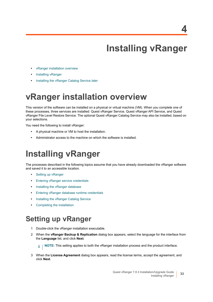# **Installing vRanger**

- <span id="page-32-0"></span>**•** [vRanger installation overview](#page-32-1)
- **•** [Installing vRanger](#page-32-2)
- **•** [Installing the vRanger Catalog Service later](#page-35-1)

## <span id="page-32-1"></span>**vRanger installation overview**

This version of the software can be installed on a physical or virtual machine (VM). When you complete one of these processes, three services are installed: Quest vRanger Service, Quest vRanger API Service, and Quest vRanger File Level Restore Service. The optional Quest vRanger Catalog Service may also be installed, based on your selections.

You need the following to install vRanger:

- **•** A physical machine or VM to host the installation.
- **•** Administrator access to the machine on which the software is installed.

# <span id="page-32-4"></span><span id="page-32-2"></span>**Installing vRanger**

The processes described in the following topics assume that you have already downloaded the vRanger software and saved it to an accessible location.

- **•** [Setting up vRanger](#page-32-3)
- **•** [Entering vRanger service credentials](#page-33-0)
- **•** [Installing the vRanger database](#page-33-1)
- **•** [Entering vRanger database runtime credentials](#page-34-0)
- **•** [Installing the vRanger Catalog Service](#page-34-1)
- **•** [Completing the installation](#page-35-0)

### <span id="page-32-3"></span>**Setting up vRanger**

- 1 Double-click the vRanger installation executable.
- 2 When the **vRanger Backup & Replication** dialog box appears, select the language for the interface from the **Language** list, and click **Next**.

**i** | NOTE: This setting applies to both the vRanger installation process and the product interface.

3 When the **License Agreement** dialog box appears, read the license terms, accept the agreement, and click **Next**.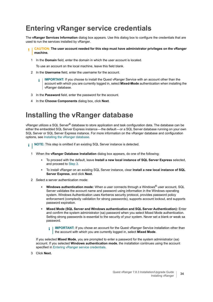## <span id="page-33-3"></span><span id="page-33-0"></span>**Entering vRanger service credentials**

The **vRanger Services Information** dialog box appears. Use this dialog box to configure the credentials that are used to run the services installed by vRanger.

#### **CAUTION: The user account needed for this step must have administrator privileges on the vRanger machine.**

1 In the **Domain** field, enter the domain in which the user account is located.

To use an account on the local machine, leave this field blank.

- 2 In the **Username** field, enter the username for the account.
	- **IMPORTANT:** If you choose to install the Quest vRanger Service with an account other than the f. account with which you are currently logged in, select **Mixed-Mode** authentication when installing the vRanger database.
- 3 In the **Password** field, enter the password for the account.
- 4 In the **Choose Components** dialog box, click **Next**.

### <span id="page-33-1"></span>**Installing the vRanger database**

vRanger utilizes a SQL Server® database to store application and task configuration data. The database can be either the embedded SQL Server Express instance—the default—or a SQL Server database running on your own SQL Server or SQL Server Express instance. For more information on the vRanger database and configuration options, see [Installing the vRanger database](#page-15-2).

- **i** | NOTE: This step is omitted if an existing SQL Server instance is detected.
	- 1 When the **vRanger Database Installation** dialog box appears, do one of the following:
		- **▪** To proceed with the default, leave **Install a new local instance of SQL Server Express** selected, and proceed to [Step 3.](#page-33-2)
		- **▪** To install vRanger on an existing SQL Server instance, clear **Install a new local instance of SQL Server Express**, and click **Next**.
	- 2 Select a server authentication mode:
		- **▪ Windows authentication mode:** When a user connects through a Windows® user account, SQL Server validates the account name and password using information in the Windows operating system. Windows Authentication uses Kerberos security protocol, provides password policy enforcement (complexity validation for strong passwords), supports account lockout, and supports password expiration.
		- **▪ Mixed Mode (SQL Server and Windows authentication and SQL Server Authentication):** Enter and confirm the system administrator (sa) password when you select Mixed Mode authentication. Setting strong passwords is essential to the security of your system. Never set a blank or weak sa password.
			- **I IMPORTANT:** If you chose an account for the Quest vRanger Service installation other than  $\ddot{\mathbf{r}}$ the account with which you are currently logged in, select **Mixed Mode**.

If you selected **Mixed Mode**, you are prompted to enter a password for the system administrator (sa) account. If you selected **Windows authentication mode**, the installation continues using the account specified in [Entering vRanger service credentials](#page-33-0).

<span id="page-33-2"></span>3 Click **Next.**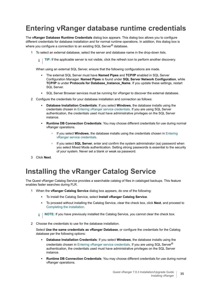## <span id="page-34-0"></span>**Entering vRanger database runtime credentials**

The **vRanger Database Runtime Credentials** dialog box appears. This dialog box allows you to configure different credentials for database installation and for normal runtime operations. In addition, this dialog box is where you configure a connection to an existing SQL Server<sup>®</sup> database.

1 To select an external database, select the server and database name in the drop-down lists.

**TIP:** If the applicable server is not visible, click the refresh icon to perform another discovery.

When using an external SQL Server, ensure that the following configurations are made.

- **▪** The external SQL Server must have **Named Pipes** and **TCP/IP** enabled in SQL Server Configuration Manager. **Named Pipes** is found under **SQL Server Network Configuration**, while **TCP/IP** is under **Protocols for Database\_Instance\_Name**. If you update these settings, restart SQL Server.
- **▪** SQL Server Browser services must be running for vRanger to discover the external database.
- 2 Configure the credentials for your database installation and connection as follows:
	- **▪ Database Installation Credentials**: If you select **Windows**, the database installs using the credentials chosen in [Entering vRanger service credentials](#page-33-0). If you are using SQL Server authentication, the credentials used must have administrative privileges on the SQL Server instance.
	- **▪ Runtime DB Connection Credentials**: You may choose different credentials for use during normal vRanger operations.
		- **▫** If you select **Windows**, the database installs using the credentials chosen in [Entering](#page-33-0)  [vRanger service credentials](#page-33-0).
		- **▫** If you select **SQL Server**, enter and confirm the system administrator (sa) password when you select Mixed Mode authentication. Setting strong passwords is essential to the security of your system. Never set a blank or weak sa password.
- 3 Click **Next**.

## <span id="page-34-1"></span>**Installing the vRanger Catalog Service**

The Quest vRanger Catalog Service provides a searchable catalog of files in cataloged backups. This feature enables faster searches during FLR.

- 1 When the **vRanger Catalog Service** dialog box appears, do one of the following:
	- **▪** To install the Catalog Service, select **Install vRanger Catalog Service**.
	- **▪** To proceed without installing the Catalog Service, clear the check box, click **Next**, and proceed to [Completing the installation.](#page-35-0)

**NOTE:** If you have previously installed the Catalog Service, you cannot clear the check box. $\mathbf{i}$ 

2 Choose the credentials to use for the database installation.

Select **Use the same credentials as vRanger Database**, or configure the credentials for the Catalog database per the following options:

- **▪ Database Installation Credentials**: If you select **Windows**, the database installs using the credentials chosen in [Entering vRanger service credentials](#page-33-0). If you are using SQL Server<sup>®</sup> authentication, the credentials used must have administrative privileges on the SQL Server instance.
- **Runtime DB Connection Credentials:** You may choose different credentials for use during normal vRanger operations.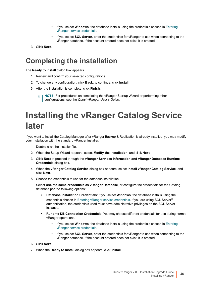- **▫** If you select **Windows**, the database installs using the credentials chosen in [Entering](#page-33-0)  [vRanger service credentials](#page-33-0).
- **▫** If you select **SQL Server**, enter the credentials for vRanger to use when connecting to the vRanger database. If the account entered does not exist, it is created.
- 3 Click **Next**.

### <span id="page-35-0"></span>**Completing the installation**

The **Ready to Install** dialog box appears.

- 1 Review and confirm your selected configurations.
- 2 To change any configuration, click **Back**; to continue, click **Install**.
- 3 After the installation is complete, click **Finish**.
	- **i** | NOTE: For procedures on completing the vRanger Startup Wizard or performing other configurations, see the *Quest vRanger User's Guide*.

# <span id="page-35-1"></span>**Installing the vRanger Catalog Service later**

If you want to install the Catalog Manager after vRanger Backup & Replication is already installed, you may modify your installation with the standard vRanger installer.

- 1 Double-click the installer file.
- 2 When the Setup Wizard appears, select **Modify the installation**, and click **Next**.
- 3 Click **Next** to proceed through the **vRanger Services Information and vRanger Database Runtime Credentials** dialog box.
- 4 When the **vRanger Catalog Service** dialog box appears, select **Install vRanger Catalog Service**, and click **Next**.
- 5 Choose the credentials to use for the database installation.

Select **Use the same credentials as vRanger Database**, or configure the credentials for the Catalog database per the following options:

- **▪ Database Installation Credentials**: If you select **Windows**, the database installs using the credentials chosen in [Entering vRanger service credentials](#page-33-0). If you are using SQL Server<sup>®</sup> authentication, the credentials used must have administrative privileges on the SQL Server instance.
- **▪ Runtime DB Connection Credentials**: You may choose different credentials for use during normal vRanger operations.
	- **▫** If you select **Windows**, the database installs using the credentials chosen in [Entering](#page-33-0)  [vRanger service credentials](#page-33-0).
	- **▫** If you select **SQL Server**, enter the credentials for vRanger to use when connecting to the vRanger database. If the account entered does not exist, it is created.
- 6 Click **Next**.
- 7 When the **Ready to Install** dialog box appears, click **Install**.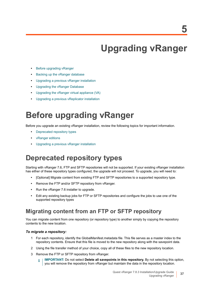# <span id="page-36-3"></span>**Upgrading vRanger**

- <span id="page-36-0"></span>**•** [Before upgrading vRanger](#page-36-1)
- **•** [Backing up the vRanger database](#page-38-0)
- **•** [Upgrading a previous vRanger installation](#page-38-1)
- **•** [Upgrading the vRanger Database](#page-40-0)
- **•** [Upgrading the vRanger virtual appliance \(VA\)](#page-42-0)
- **•** [Upgrading a previous vReplicator installation](#page-44-0)

# <span id="page-36-1"></span>**Before upgrading vRanger**

Before you upgrade an existing vRanger installation, review the following topics for important information.

- **•** [Deprecated repository types](#page-36-2)
- **•** [vRanger editions](#page-37-0)
- **•** [Upgrading a previous vRanger installation](#page-38-1)

## <span id="page-36-2"></span>**Deprecated repository types**

Starting with vRanger 7.6, FTP and SFTP repositories will not be supported. If your existing vRanger installation has either of these repository types configured, the upgrade will not proceed. To upgrade, you will need to:

- **•** [Optional] Migrate content from existing FTP and SFTP repositories to a supported repository type.
- **•** Remove the FTP and/or SFTP repository from vRanger.
- **•** Run the vRanger 7.6 installer to upgrade.
- **•** Edit any existing backup jobs for FTP or SFTP repositories and configure the jobs to use one of the supported repository types

#### **Migrating content from an FTP or SFTP repository**

You can migrate content from one repository (or repository type) to another simply by copying the repository contents to the new location.

#### *To migrate a repository:*

- 1 For each repository, identify the GlobalManifest.metadata file. This file serves as a master index to the repository contents. Ensure that this file is moved to the new repository along with the savepoint data.
- 2 Using the file transfer method of your choice, copy all of these files to the new repository location.
- 3 Remove the FTP or SFTP repository from vRanger.
	- **IMPORTANT:** Do not select **Delete all savepoints in this repository.** By not selecting this option, f. you will remove the repository from vRanger but maintain the data in the repository location.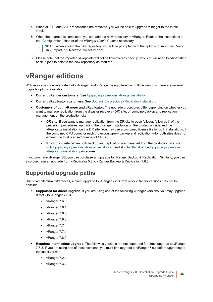- 4 When all FTP and SFTP repositories are removed, you will be able to upgrade vRanger to the latest version.
- 5 When the upgrade is completed, you can add the new repository to vRanger. Refer to the instructions in the "Configuration" chapter of the *vRanger User's Guide* if necessary.
	- **NOTE:** When adding the new repository, you will be prompted with the options to Import as Read-÷. Only, Import, or Overwrite. Select **Import.**
- 6 Please note that the imported savepoints will not be linked to any backup jobs. You will need to edit existing backup jobs to point to the new repository as required.

### <span id="page-37-0"></span>**vRanger editions**

With replication now integrated into vRanger, and vRanger being offered in multiple versions, there are several upgrade options available.

- **Current vRanger customers**: See [Upgrading a previous vRanger installation.](#page-38-1)
- **Current vReplicator customers**: See [Upgrading a previous vReplicator installation.](#page-44-0)
- **Customers of both vRanger and vReplicator**: The upgrade procedures differ depending on whether you want to manage replication from the disaster recovery (DR) site, or combine backup and replication management on the production site.
	- **▪ DR site**: If you want to manage replication from the DR site to ease failover, follow both of the preceding procedures, upgrading the vRanger installation on the production side and the vReplicator installation on the DR site. You may use a combined license file for both installations, if the combined CPU count for each protection type—backup and replication—for both sites does not exceed the total licensed number of CPUs.
	- **▪ Production site**: When both backup and replication are managed from the production site, start with [Upgrading a previous vRanger installation,](#page-38-1) and skip to [Step 4](#page-44-1) of the Upgrading a previous [vReplicator installation](#page-44-0) procedures.

If you purchase vRanger SE, you can purchase an upgrade to vRanger Backup & Replication. Similarly, you can also purchase an upgrade from vReplicator 5.0 to vRanger Backup & Replication 7.8.3.

#### <span id="page-37-1"></span>**Supported upgrade paths**

Due to architectural differences, a direct upgrade to vRanger 7.8.3 from older vRanger versions may not be possible.

- **Supported for direct upgrade**: If you are using one of the following vRanger versions, you may upgrade directly to vRanger 7.8.3.
	- **▪** vRanger 7.6.3
	- **▪** vRanger 7.6.4
	- **▪** vRanger 7.6.5
	- **▪** vRanger 7.6.6
	- **▪** vRanger 7.7
	- **▪** vRanger 7.7.1
	- **▪** vRanger 7.8.0
- **Requires intermediate upgrade**: The following versions are not supported for direct upgrade to vRanger 7.8.3. If you are using one of these versions, you must first upgrade to vRanger 7.6.x before upgrading to the latest version.
	- **▪** vRanger 7.2.x
	- **▪** vRanger 7.3.x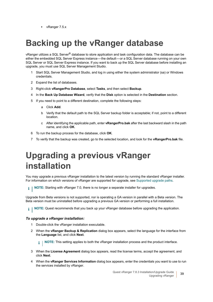**▪** vRanger 7.5.x

# <span id="page-38-0"></span>**Backing up the vRanger database**

vRanger utilizes a SQL Server® database to store application and task configuration data. The database can be either the embedded SQL Server Express instance—the default—or a SQL Server database running on your own SQL Server or SQL Server Express instance. If you want to back up the SQL Server database before installing an upgrade, you must use SQL Server Management Studio.

- 1 Start SQL Server Management Studio, and log in using either the system administrator (sa) or Windows credentials.
- 2 Expand the list of databases.
- 3 Right-click **vRangerPro Database**, select **Tasks**, and then select **Backup**.
- 4 In the **Back Up Database Wizard**, verify that the **Disk** option is selected in the **Destination** section.
- 5 If you need to point to a different destination, complete the following steps:
	- a Click **Add**.
	- b Verify that the default path to the SQL Server backup folder is acceptable; if not, point to a different location.
	- c After identifying the applicable path, enter **vRangerPro.bak** after the last backward slash in the path name, and click **OK**.
- 6 To run the backup process for the database, click **OK**.
- 7 To verify that the backup was created, go to the selected location, and look for the **vRangerPro.bak** file.

# <span id="page-38-1"></span>**Upgrading a previous vRanger installation**

You may upgrade a previous vRanger installation to the latest version by running the standard vRanger installer. For information on which versions of vRanger are supported for upgrade, see [Supported upgrade paths.](#page-37-1)

**NOTE:** Starting with vRanger 7.0, there is no longer a separate installer for upgrades. i I

Upgrade from Beta versions is not supported, nor is operating a GA version in parallel with a Beta version. The Beta version must be uninstalled before upgrading a previous GA version or performing a full installation.

**NOTE:** Quest recommends that you back up your vRanger database before upgrading the application. i I

#### *To upgrade a vRanger installation:*

- 1 Double-click the vRanger installation executable.
- 2 When the **vRanger Backup & Replication** dialog box appears, select the language for the interface from the **Language** list, and click **Next**.

**NOTE:** This setting applies to both the vRanger installation process and the product interface.i l

- 3 When the **License Agreement** dialog box appears, read the license terms, accept the agreement, and click **Next**.
- 4 When the **vRanger Services Information** dialog box appears, enter the credentials you want to use to run the services installed by vRanger.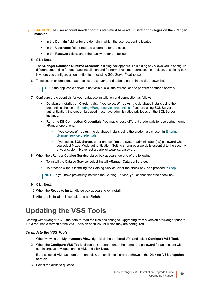- **CAUTION: The user account needed for this step must have administrator privileges on the vRanger machine.**
	- **▪** In the **Domain** field, enter the domain in which the user account is located.
	- In the **Username** field, enter the username for the account.
	- In the **Password** field, enter the password for the account.
	- 5 Click **Next**.

The **vRanger Database Runtime Credentials** dialog box appears. This dialog box allows you to configure different credentials for database installation and for normal runtime operations. In addition, this dialog box is where you configure a connection to an existing SQL Server<sup>®</sup> database.

- 6 To select an external database, select the server and database name in the drop-down lists.
	- **TIP:** If the applicable server is not visible, click the refresh icon to perform another discovery.  $\mathbf{i}$
- 7 Configure the credentials for your database installation and connection as follows:
	- **▪ Database Installation Credentials**: If you select **Windows**, the database installs using the credentials chosen in [Entering vRanger service credentials](#page-33-3). If you are using SQL Server authentication, the credentials used must have administrative privileges on the SQL Server instance.
	- **▪ Runtime DB Connection Credentials**: You may choose different credentials for use during normal vRanger operations.
		- **□** If you select **Windows**, the database installs using the credentials chosen in Entering [vRanger service credentials](#page-33-3).
		- **□** If you select **SQL Server**, enter and confirm the system administrator (sa) password when you select Mixed Mode authentication. Setting strong passwords is essential to the security of your system. Never set a blank or weak sa password.
- 8 When the **vRanger Catalog Service** dialog box appears, do one of the following:
	- **▪** To install the Catalog Service, select **Install vRanger Catalog Service**.
	- **▪** To proceed without installing the Catalog Service, clear the check box, and proceed to [Step 9](#page-39-1).
	- **i** | NOTE: If you have previously installed the Catalog Service, you cannot clear the check box.
- <span id="page-39-1"></span>9 Click **Next**.
- 10 When the **Ready to Install** dialog box appears, click **Install**.
- 11 After the installation is complete, click **Finish**.

## <span id="page-39-0"></span>**Updating the VSS Tools**

Starting with vRanger 7.6.3, the path to required files has changed. Upgrading from a version of vRanger prior to 7.6.3 requires a refresh of the VSS Tools on each VM for which they are configured.

#### *To update the VSS Tools:*

- 1 When viewing the **My Inventory View**, right-click the preferred VM, and select **Configure VSS Tools**.
- 2 When the **Configure VSS Tools** dialog box appears, enter the name and password for an account with administrative privileges on the VM, and click **Next**.

If the selected VM has more than one disk, the available disks are shown in the **Disk for VSS snapshot section**.

3 Select the disks to quiesce.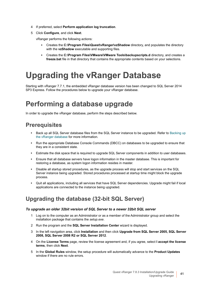- 4 If preferred, select **Perform application log truncation**.
- 5 Click **Configure**, and click **Next**.

vRanger performs the following actions:

- **▪** Creates the **C:\Program Files\Quest\vRanger\vzShadow** directory, and populates the directory with the **vzShadow** executable and supporting files.
- **▪** Creates the **C:\Program Files\VMware\VMware Tools\backupscripts.d** directory, and creates a **freeze.bat** file in that directory that contains the appropriate contents based on your selections.

# <span id="page-40-0"></span>**Upgrading the vRanger Database**

Starting with vRanger 7.7.1, the embedded vRanger database version has been changed to SQL Server 2014 SP3 Express. Follow the procedures below to upgrade your vRanger database.

## <span id="page-40-1"></span>**Performing a database upgrade**

In order to upgrade the vRanger database, perform the steps described below.

#### **Prerequisites**

- **•** Back up all SQL Server database files from the SQL Server instance to be upgraded. Refer to [Backing up](#page-38-0)  [the vRanger database](#page-38-0) for more information.
- **•** Run the appropriate Database Console Commands (DBCC) on databases to be upgraded to ensure that they are in a consistent state.
- **•** Estimate the disk space that is required to upgrade SQL Server components in addition to user databases.
- **•** Ensure that all database servers have logon information in the master database. This is important for restoring a database, as system logon information resides in master.
- **•** Disable all startup stored procedures, as the upgrade process will stop and start services on the SQL Server instance being upgraded. Stored procedures processed at startup time might block the upgrade process.
- **•** Quit all applications, including all services that have SQL Server dependencies. Upgrade might fail if local applications are connected to the instance being upgraded.

#### **Upgrading the database (32-bit SQL Server)**

#### *To upgrade an older 32bit version of SQL Server to a newer 32bit SQL server*

- 1 Log on to the computer as an Administrator or as a member of the Administrator group and select the installation package that contains the *setup.exe*.
- 2 Run the program and the **SQL Server Installation Center** wizard is displayed.
- 3 In the left navigation area, click **Installation** and then click **Upgrade from SQL Server 2005, SQL Server 2008, SQL Server 2008 R2 or SQL Server 2012**.
- 4 On the **License Terms** page, review the license agreement and, if you agree, select **I accept the license terms**, then click **Next**.
- 5 In the **Global Rules** window, the setup procedure will automatically advance to the **Product Updates** window if there are no rule errors.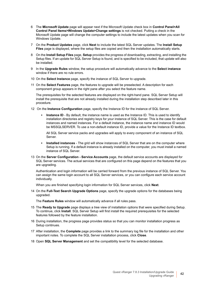- 6 The **Microsoft Update** page will appear next if the Microsoft Update check box in **Control Panel>All Control Panel Items>Windows Update>Change settings** is not checked. Putting a check in the Microsoft Update page will change the computer settings to include the latest updates when you scan for Windows Update.
- 7 On the **Product Updates** page, click **Next** to include the latest SQL Server updates. The **Install Setup Files** page is displayed, where the setup files are copied and then the installation automatically starts.
- 8 On the **Install Setup Files** page, **Setup** provides the progress of downloading, extracting, and installing the Setup files. If an update for SQL Server Setup is found, and is specified to be included, that update will also be installed.
- 9 In the **Upgrade Rules** window, the setup procedure will automatically advance to the **Select instance** window if there are no rule errors.
- 10 On the **Select Instance** page, specify the instance of SQL Server to upgrade.
- 11 On the **Select Features** page, the features to upgrade will be preselected. A description for each component group appears in the right pane after you select the feature name.

The prerequisites for the selected features are displayed on the right-hand pane. SQL Server Setup will install the prerequisite that are not already installed during the installation step described later in this procedure.

- 12 On the **Instance Configuration** page, specify the Instance ID for the instance of SQL Server.
	- **Instance ID** By default, the instance name is used as the Instance ID. This is used to identify installation directories and registry keys for your instance of SQL Server. This is the case for default instances and named instances. For a default instance, the instance name and instance ID would be MSSQLSERVER. To use a non-default instance ID, provide a value for the Instance ID textbox.

All SQL Server service packs and upgrades will apply to every component of an instance of SQL Server.

- **▪ Installed instances** The grid will show instances of SQL Server that are on the computer where Setup is running. If a default instance is already installed on the computer, you must install a named instance of SQL Server.
- 13 On the **Server Configuration Service Accounts** page, the default service accounts are displayed for SQL Server services. The actual services that are configured on this page depend on the features that you are upgrading.

Authentication and login information will be carried forward from the previous instance of SQL Server. You can assign the same login account to all SQL Server services, or you can configure each service account individually.

When you are finished specifying login information for SQL Server services, click **Next**.

14 On the **Full-Text Search Upgrade Options** page, specify the upgrade options for the databases being upgraded.

The **Feature Rules** window will automatically advance if all rules pass.

- 15 The **Ready to Upgrade** page displays a tree view of installation options that were specified during Setup. To continue, click **Install**. SQL Server Setup will first install the required prerequisites for the selected features followed by the feature installation.
- 16 During installation, the progress page provides status so that you can monitor installation progress as Setup continues.
- 17 After installation, the **Complete** page provides a link to the summary log file for the installation and other important notes. To complete the SQL Server installation process, click **Close**.
- 18 Open **SQL Server Management** and set the compatibility level for the selected database.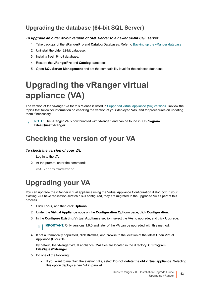#### **Upgrading the database (64-bit SQL Server)**

#### *To upgrade an older 32-bit version of SQL Server to a newer 64-bit SQL server*

- 1 Take backups of the **vRangerPro** and **Catalog** Databases. Refer to [Backing up the vRanger database](#page-38-0).
- 2 Uninstall the older 32-bit database.
- 3 Install a fresh 64-bit database.
- 4 Restore the **vRangerPro** and **Catalog** databases.
- 5 Open **SQL Server Management** and set the compatibility level for the selected database.

# <span id="page-42-3"></span><span id="page-42-0"></span>**Upgrading the vRanger virtual appliance (VA)**

The version of the vRanger VA for this release is listed in [Supported virtual appliance \(VA\) versions](#page-25-4). Review the topics that follow for information on checking the version of your deployed VAs, and for procedures on updating them if necessary.

**NOTE:** The vRanger VA is now bundled with vRanger, and can be found in: **C:\Program**  f **Files\Quest\vRanger**

## <span id="page-42-1"></span>**Checking the version of your VA**

#### *To check the version of your VA:*

- 1 Log in to the VA.
- 2 At the prompt, enter the command:

cat /etc/vzvaversion

## <span id="page-42-2"></span>**Upgrading your VA**

You can upgrade the vRanger virtual appliance using the Virtual Appliance Configuration dialog box. If your existing VAs have replication scratch disks configured, they are migrated to the upgraded VA as part of this process.

- 1 Click **Tools**, and then click **Options**.
- 2 Under the **Virtual Appliance** node on the **Configuration Options** page, click **Configuration**.
- 3 In the **Configure Existing Virtual Appliance** section, select the VAs to upgrade, and click **Upgrade**.

**IMPORTANT:** Only versions 1.9.0 and later of the VA can be upgraded with this method. i l

4 If not automatically populated, click **Browse**, and browse to the location of the latest Open Virtual Appliance (OVA) file.

By default, the vRanger virtual appliance OVA files are located in the directory: **C:\Program Files\Quest\vRanger**.

- 5 Do one of the following:
	- **▪** If you want to maintain the existing VAs, select **Do not delete the old virtual appliance**. Selecting this option deploys a new VA in parallel.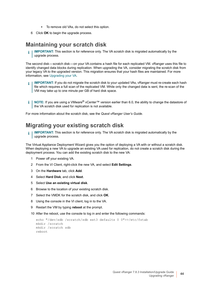- **▪** To remove old VAs, do not select this option.
- 6 Click **OK** to begin the upgrade process.

#### **Maintaining your scratch disk**

**IMPORTANT:** This section is for reference only. The VA scratch disk is migrated automatically by the f upgrade process.

The second disk — scratch disk — on your VA contains a hash file for each replicated VM. vRanger uses this file to identify changed data blocks during replication. When upgrading the VA, consider migrating the scratch disk from your legacy VA to the upgraded version. This migration ensures that your hash files are maintained. For more information, see [Upgrading your VA.](#page-42-2)

- **IMPORTANT:** If you do not migrate the scratch disk to your updated VAs, vRanger must re-create each hash ÷ file which requires a full scan of the replicated VM. While only the changed data is sent, the re-scan of the VM may take up to one minute per GB of hard disk space.
- **NOTE:** If you are using a VMware® vCenter™ version earlier than 6.0, the ability to change the datastore of ÷ the VA scratch disk used for replication is not available.

For more information about the scratch disk, see the *Quest vRanger User's Guide*.

#### **Migrating your existing scratch disk**

**IMPORTANT:** This section is for reference only. The VA scratch disk is migrated automatically by the f upgrade process.

The Virtual Appliance Deployment Wizard gives you the option of deploying a VA with or without a scratch disk. When deploying a new VA to upgrade an existing VA used for replication, do not create a scratch disk during the deployment process. You can add the existing scratch disk to the new VA:

- 1 Power off your existing VA.
- 2 From the VI Client, right-click the new VA, and select **Edit Settings**.
- 3 On the **Hardware** tab, click **Add**.
- 4 Select **Hard Disk**, and click **Next**.
- 5 Select **Use an existing virtual disk**.
- 6 Browse to the location of your existing scratch disk.
- 7 Select the VMDK for the scratch disk, and click **OK**.
- 8 Using the console in the VI client, log in to the VA.
- 9 Restart the VM by typing **reboot** at the prompt.
- 10 After the reboot, use the console to log in and enter the following commands:

```
echo "/dev/sdb /scratch/sdb ext3 defaults 0 0">>/etc/fstab
mkdir /scratch
mkdir /scratch sdb
reboot
```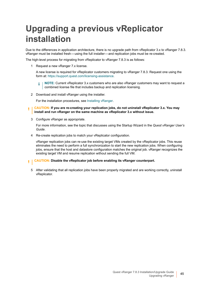# <span id="page-44-0"></span>**Upgrading a previous vReplicator installation**

Due to the differences in application architecture, there is no upgrade path from vReplicator 3.x to vRanger 7.8.3. vRanger must be installed fresh — using the full installer — and replication jobs must be re-created.

The high-level process for migrating from vReplicator to vRanger 7.8.3 is as follows:

1 Request a new vRanger 7.x license.

A new license is required for vReplicator customers migrating to vRanger 7.8.3. Request one using the form at: [https://support.quest.com/licensing-assistance.](https://support.quest.com/licensing-assistance)

**NOTE:** Current vReplicator 3.x customers who are also vRanger customers may want to request a i. combined license file that includes backup and replication licensing.

2 Download and install vRanger using the installer.

For the installation procedures, see [Installing vRanger.](#page-32-4)

- **CAUTION: If you are re-creating your replication jobs, do not uninstall vReplicator 3.x. You may install and run vRanger on the same machine as vReplicator 3.x without issue.**
- 3 Configure vRanger as appropriate.

For more information, see the topic that discusses using the Startup Wizard in the *Quest vRanger User's Guide*.

<span id="page-44-1"></span>4 Re-create replication jobs to match your vReplicator configuration.

vRanger replication jobs can re-use the existing target VMs created by the vReplicator jobs. This reuse eliminates the need to perform a full synchronization to start the new replication jobs. When configuring jobs, ensure that the host and datastore configuration matches the original job. vRanger recognizes the existing target VM and resume replication without sending the full VM.

- **CAUTION: Disable the vReplicator job before enabling its vRanger counterpart.**ΠI
	- 5 After validating that all replication jobs have been properly migrated and are working correctly, uninstall vReplicator.